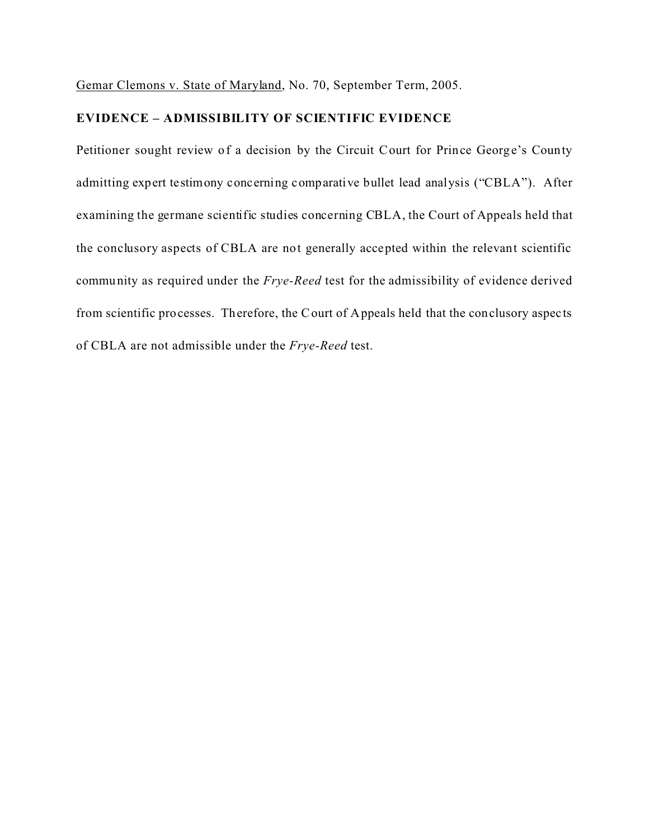Gemar Clemons v. State of Maryland, No. 70, September Term, 2005.

## **EVIDENCE – ADMISSIBILITY OF SCIENTIFIC EVIDENCE**

Petitioner sought review of a decision by the Circuit Court for Prince George's County admitting expert testimony concerning comparative bullet lead analysis ("CBLA"). After examining the germane scientific studies concerning CBLA, the Court of Appeals held that the conclusory aspects of CBLA are not generally accepted within the relevant scientific community as required under the *Frye-Reed* test for the admissibility of evidence derived from scientific processes. Therefore, the Court of Appeals held that the conclusory aspects of CBLA are not admissible under the *Frye-Reed* test.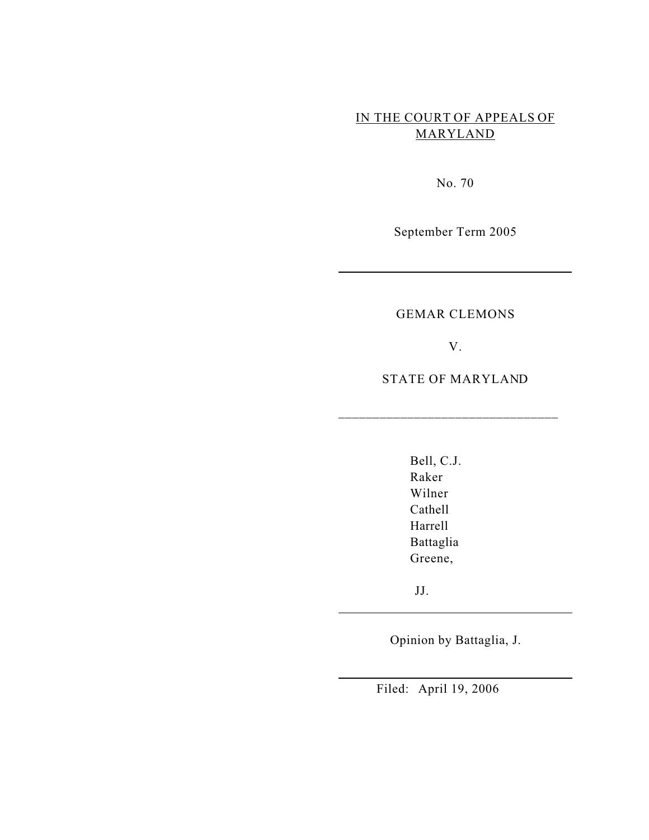# IN THE COURT OF APPEALS OF MARYLAND

No. 70

September Term 2005

## GEMAR CLEMONS

V.

STATE OF MARYLAND

\_\_\_\_\_\_\_\_\_\_\_\_\_\_\_\_\_\_\_\_\_\_\_\_\_\_\_\_\_\_\_\_

Bell, C.J. Raker Wilner Cathell Harrell Battaglia Greene,

JJ.

Opinion by Battaglia, J.

Filed: April 19, 2006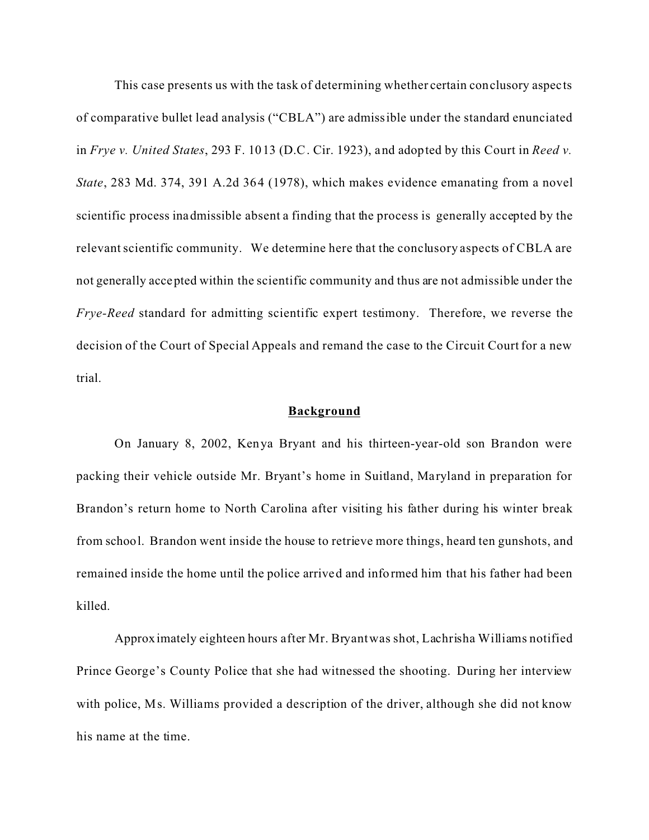This case presents us with the task of determining whether certain conclusory aspects of comparative bullet lead analysis ("CBLA") are admissible under the standard enunciated in *Frye v. United States*, 293 F. 1013 (D.C. Cir. 1923), and adopted by this Court in *Reed v. State*, 283 Md. 374, 391 A.2d 364 (1978), which makes evidence emanating from a novel scientific process inadmissible absent a finding that the process is generally accepted by the relevant scientific community. We determine here that the conclusory aspects of CBLA are not generally accepted within the scientific community and thus are not admissible under the *Frye-Reed* standard for admitting scientific expert testimony. Therefore, we reverse the decision of the Court of Special Appeals and remand the case to the Circuit Court for a new trial.

#### **Background**

On January 8, 2002, Kenya Bryant and his thirteen-year-old son Brandon were packing their vehicle outside Mr. Bryant's home in Suitland, Maryland in preparation for Brandon's return home to North Carolina after visiting his father during his winter break from school. Brandon went inside the house to retrieve more things, heard ten gunshots, and remained inside the home until the police arrived and informed him that his father had been killed.

Approximately eighteen hours after Mr. Bryant was shot, Lachrisha Williams notified Prince George's County Police that she had witnessed the shooting. During her interview with police, Ms. Williams provided a description of the driver, although she did not know his name at the time.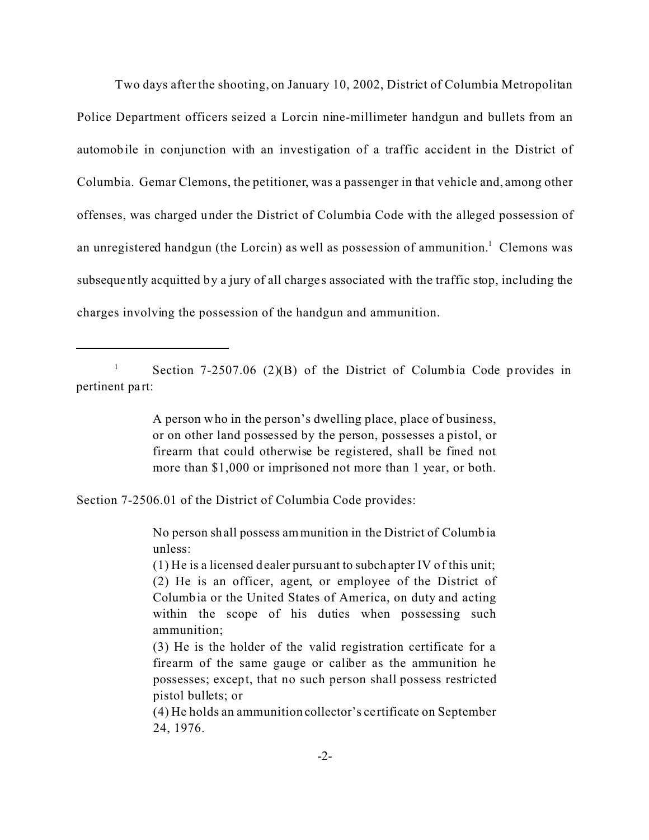Two days after the shooting, on January 10, 2002, District of Columbia Metropolitan Police Department officers seized a Lorcin nine-millimeter handgun and bullets from an automobile in conjunction with an investigation of a traffic accident in the District of Columbia. Gemar Clemons, the petitioner, was a passenger in that vehicle and, among other offenses, was charged under the District of Columbia Code with the alleged possession of an unregistered handgun (the Lorcin) as well as possession of ammunition.<sup>1</sup> Clemons was subsequently acquitted by a jury of all charges associated with the traffic stop, including the charges involving the possession of the handgun and ammunition.

<sup>1</sup> Section 7-2507.06 (2)(B) of the District of Columbia Code provides in pertinent part:

> A person who in the person's dwelling place, place of business, or on other land possessed by the person, possesses a pistol, or firearm that could otherwise be registered, shall be fined not more than \$1,000 or imprisoned not more than 1 year, or both.

Section 7-2506.01 of the District of Columbia Code provides:

No person shall possess ammunition in the District of Columbia unless:

(1) He is a licensed dealer pursuant to subchapter IV of this unit; (2) He is an officer, agent, or employee of the District of Columbia or the United States of America, on duty and acting within the scope of his duties when possessing such ammunition;

(3) He is the holder of the valid registration certificate for a firearm of the same gauge or caliber as the ammunition he possesses; except, that no such person shall possess restricted pistol bullets; or

(4) He holds an ammunition collector's ce rtificate on September 24, 1976.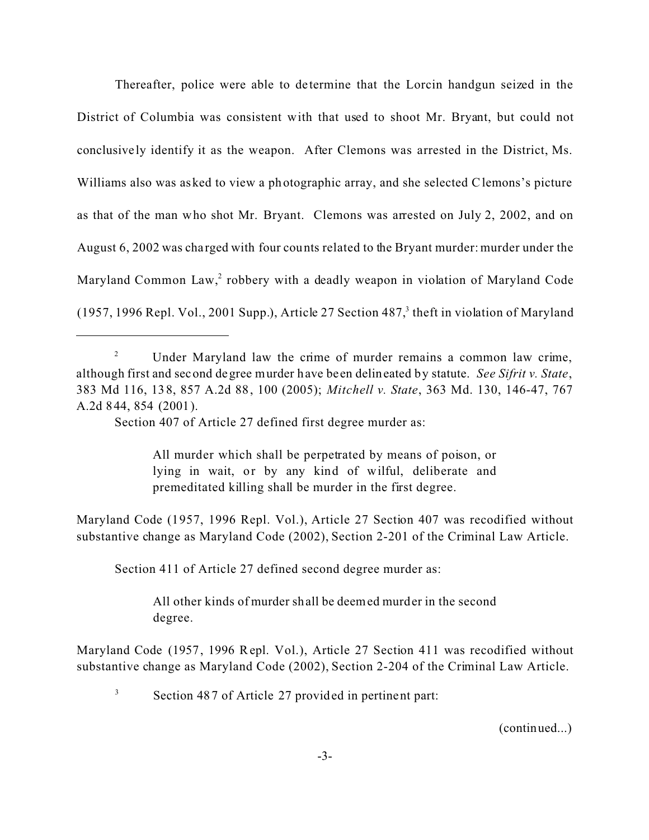Thereafter, police were able to de termine that the Lorcin handgun seized in the District of Columbia was consistent with that used to shoot Mr. Bryant, but could not conclusive ly identify it as the weapon. After Clemons was arrested in the District, Ms. Williams also was asked to view a photographic array, and she selected Clemons's picture as that of the man who shot Mr. Bryant. Clemons was arrested on July 2, 2002, and on August 6, 2002 was cha rged with four counts related to the Bryant murder: murder under the Maryland Common Law,<sup>2</sup> robbery with a deadly weapon in violation of Maryland Code  $(1957, 1996$  Repl. Vol., 2001 Supp.), Article 27 Section 487, $3$  theft in violation of Maryland

All murder which shall be perpetrated by means of poison, or lying in wait, or by any kind of wilful, deliberate and premeditated killing shall be murder in the first degree.

Maryland Code (1957, 1996 Repl. Vol.), Article 27 Section 407 was recodified without substantive change as Maryland Code (2002), Section 2-201 of the Criminal Law Article.

Section 411 of Article 27 defined second degree murder as:

All other kinds of murder shall be deemed murder in the second degree.

Maryland Code (1957, 1996 Repl. Vol.), Article 27 Section 411 was recodified without substantive change as Maryland Code (2002), Section 2-204 of the Criminal Law Article.

(continued...)

<sup>&</sup>lt;sup>2</sup> Under Maryland law the crime of murder remains a common law crime, although first and second degree murder have been delineated by statute. *See Sifrit v. State*, 383 Md 116, 138, 857 A.2d 88, 100 (2005); *Mitchell v. State*, 363 Md. 130, 146-47, 767 A.2d 844, 854 (2001).

Section 407 of Article 27 defined first degree murder as:

<sup>&</sup>lt;sup>3</sup> Section 487 of Article 27 provided in pertinent part: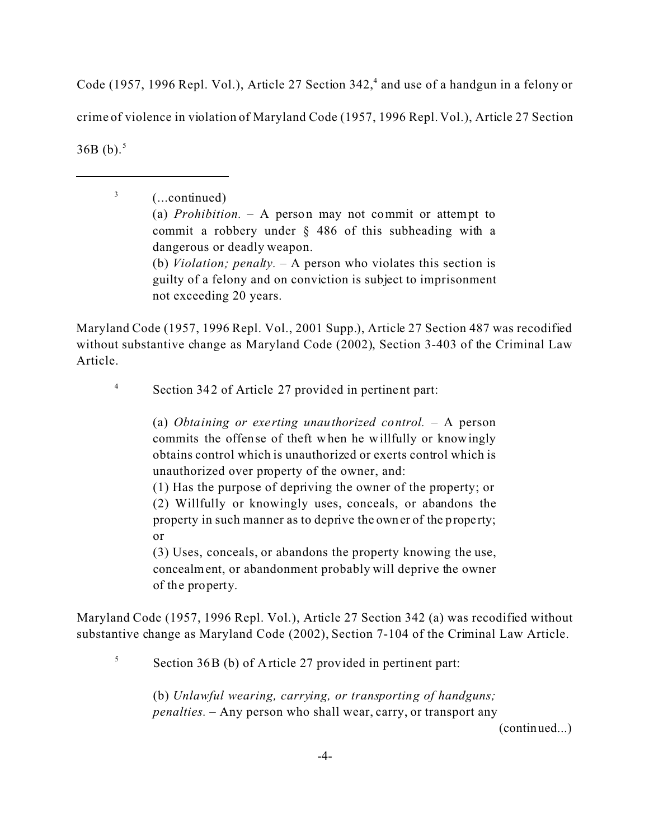Code (1957, 1996 Repl. Vol.), Article 27 Section 342,<sup>4</sup> and use of a handgun in a felony or crime of violence in violation of Maryland Code (1957, 1996 Repl. Vol.), Article 27 Section  $36B(b).$ <sup>5</sup>

> (...continued) (a) *Prohibition.* – A person may not commit or attempt to commit a robbery under § 486 of this subheading with a dangerous or deadly weapon. (b) *Violation; penalty.* – A person who violates this section is guilty of a felony and on conviction is subject to imprisonment not exceeding 20 years.

Maryland Code (1957, 1996 Repl. Vol., 2001 Supp.), Article 27 Section 487 was recodified without substantive change as Maryland Code (2002), Section 3-403 of the Criminal Law Article.

<sup>4</sup> Section 342 of Article 27 provided in pertinent part:

3

(a) *Obtaining or exerting unauthorized control.* – A person commits the offense of theft when he willfully or knowingly obtains control which is unauthorized or exerts control which is unauthorized over property of the owner, and:

(1) Has the purpose of depriving the owner of the property; or (2) Willfully or knowingly uses, conceals, or abandons the property in such manner as to deprive the owner of the property; or

(3) Uses, conceals, or abandons the property knowing the use, concealment, or abandonment probably will deprive the owner of the property.

Maryland Code (1957, 1996 Repl. Vol.), Article 27 Section 342 (a) was recodified without substantive change as Maryland Code (2002), Section 7-104 of the Criminal Law Article.

 $5$  Section 36B (b) of Article 27 provided in pertinent part:

(b) *Unlawful wearing, carrying, or transporting of handguns; penalties.* – Any person who shall wear, carry, or transport any

(continued...)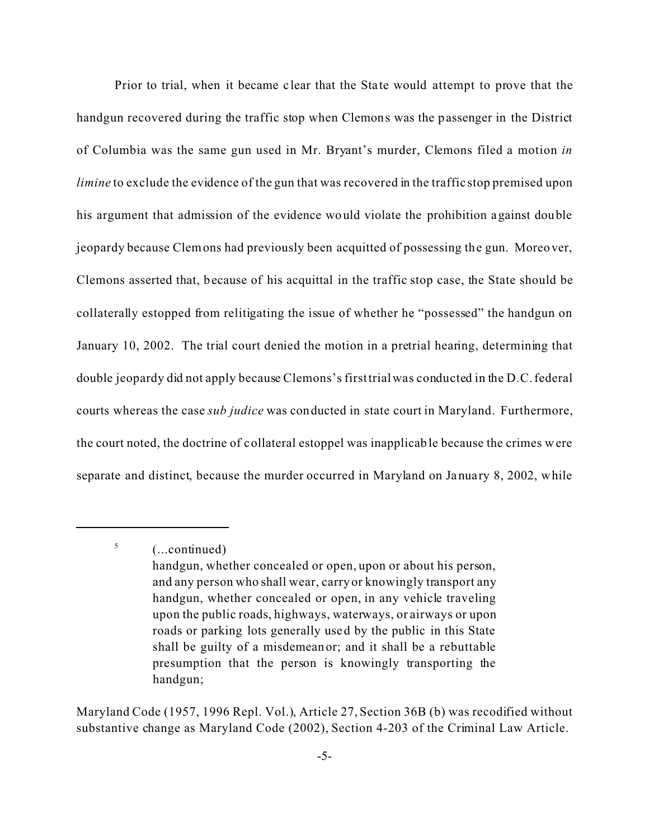Prior to trial, when it became clear that the State would attempt to prove that the handgun recovered during the traffic stop when Clemons was the passenger in the District of Columbia was the same gun used in Mr. Bryant's murder, Clemons filed a motion *in limine* to exclude the evidence of the gun that was recovered in the traffic stop premised upon his argument that admission of the evidence would violate the prohibition against double jeopardy because Clemons had previously been acquitted of possessing the gun. Moreover, Clemons asserted that, because of his acquittal in the traffic stop case, the State should be collaterally estopped from relitigating the issue of whether he "possessed" the handgun on January 10, 2002. The trial court denied the motion in a pretrial hearing, determining that double jeopardy did not apply because Clemons's first trial was conducted in the D.C. federal courts whereas the case *sub judice* was conducted in state court in Maryland. Furthermore, the court noted, the doctrine of collateral estoppel was inapplicable because the crimes were separate and distinct, because the murder occurred in Maryland on Ja nuary 8, 2002, while

5

Maryland Code (1957, 1996 Repl. Vol.), Article 27, Section 36B (b) was recodified without substantive change as Maryland Code (2002), Section 4-203 of the Criminal Law Article.

<sup>(...</sup>continued)

handgun, whether concealed or open, upon or about his person, and any person who shall wear, carry or knowingly transport any handgun, whether concealed or open, in any vehicle traveling upon the public roads, highways, waterways, or airways or upon roads or parking lots generally used by the public in this State shall be guilty of a misdemeanor; and it shall be a rebuttable presumption that the person is knowingly transporting the handgun;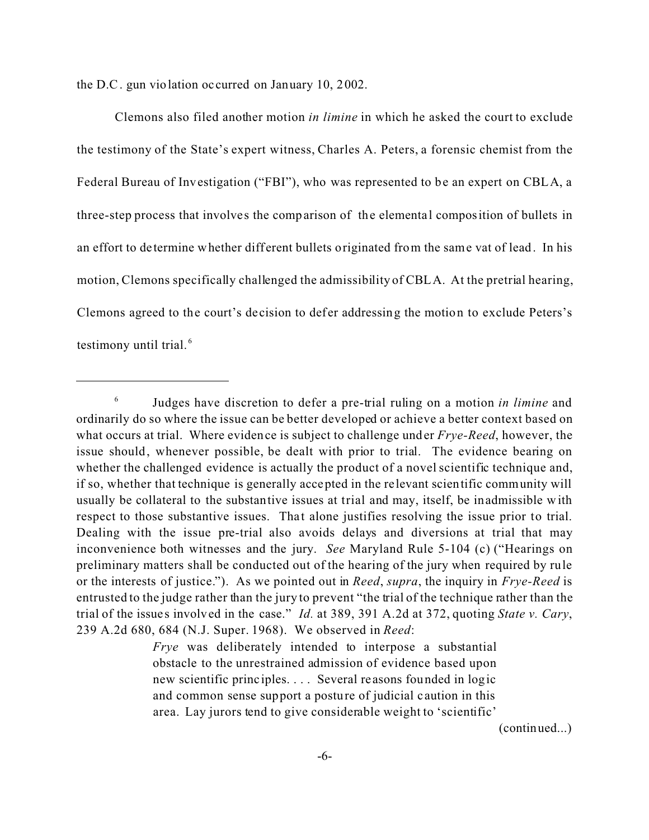the D.C. gun violation oc curred on January 10, 2002.

Clemons also filed another motion *in limine* in which he asked the court to exclude the testimony of the State's expert witness, Charles A. Peters, a forensic chemist from the Federal Bureau of Investigation ("FBI"), who was represented to be an expert on CBLA, a three-step process that involves the comparison of the elementa l composition of bullets in an effort to de termine whether different bullets originated from the same vat of lead. In his motion, Clemons specifically challenged the admissibility of CBLA. At the pretrial hearing, Clemons agreed to the court's decision to defer addressing the motion to exclude Peters's testimony until trial.<sup>6</sup>

*Frye* was deliberately intended to interpose a substantial obstacle to the unrestrained admission of evidence based upon new scientific princ iples. . . . Several reasons founded in logic and common sense support a posture of judicial c aution in this area. Lay jurors tend to give considerable weight to 'scientific'

(continued...)

<sup>6</sup> Judges have discretion to defer a pre-trial ruling on a motion *in limine* and ordinarily do so where the issue can be better developed or achieve a better context based on what occurs at trial. Where evidence is subject to challenge under *Frye-Reed*, however, the issue should, whenever possible, be dealt with prior to trial. The evidence bearing on whether the challenged evidence is actually the product of a novel scientific technique and, if so, whether that technique is generally accepted in the relevant scientific community will usually be collateral to the substantive issues at trial and may, itself, be inadmissible with respect to those substantive issues. That alone justifies resolving the issue prior to trial. Dealing with the issue pre-trial also avoids delays and diversions at trial that may inconvenience both witnesses and the jury. *See* Maryland Rule 5-104 (c) ("Hearings on preliminary matters shall be conducted out of the hearing of the jury when required by rule or the interests of justice."). As we pointed out in *Reed*, *supra*, the inquiry in *Frye-Reed* is entrusted to the judge rather than the jury to prevent "the trial of the technique rather than the trial of the issue s involved in the case." *Id.* at 389, 391 A.2d at 372, quoting *State v. Cary*, 239 A.2d 680, 684 (N.J. Super. 1968). We observed in *Reed*: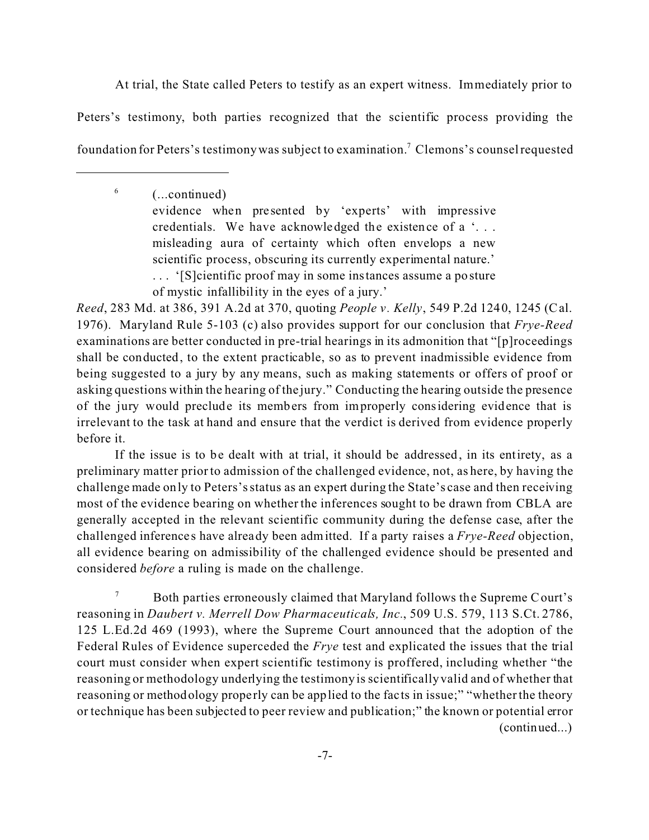At trial, the State called Peters to testify as an expert witness. Immediately prior to Peters's testimony, both parties recognized that the scientific process providing the foundation for Peters's testimony was subject to examination.<sup>7</sup> Clemons's counsel requested

> (...continued) evidence when pre sented by 'experts' with impressive credentials. We have acknowledged the existence of a '. . . misleading aura of certainty which often envelops a new scientific process, obscuring its currently experimental nature.' . . . '[S]cientific proof may in some instances assume a posture

of mystic infallibility in the eyes of a jury.'

6

*Reed*, 283 Md. at 386, 391 A.2d at 370, quoting *People v. Kelly*, 549 P.2d 1240, 1245 (Cal. 1976). Maryland Rule 5-103 (c) also provides support for our conclusion that *Frye-Reed* examinations are better conducted in pre-trial hearings in its admonition that "[p]roceedings shall be conducted, to the extent practicable, so as to prevent inadmissible evidence from being suggested to a jury by any means, such as making statements or offers of proof or asking questions within the hearing of the jury." Conducting the hearing outside the presence of the jury would preclude its members from improperly considering evidence that is irrelevant to the task at hand and ensure that the verdict is derived from evidence properly before it.

If the issue is to be dealt with at trial, it should be addressed, in its entirety, as a preliminary matter prior to admission of the challenged evidence, not, as here, by having the challenge made only to Peters's status as an expert during the State's case and then receiving most of the evidence bearing on whether the inferences sought to be drawn from CBLA are generally accepted in the relevant scientific community during the defense case, after the challenged inferences have already been admitted. If a party raises a *Frye-Reed* objection, all evidence bearing on admissibility of the challenged evidence should be presented and considered *before* a ruling is made on the challenge.

Both parties erroneously claimed that Maryland follows the Supreme Court's reasoning in *Daubert v. Merrell Dow Pharmaceuticals, Inc.*, 509 U.S. 579, 113 S.Ct. 2786, 125 L.Ed.2d 469 (1993), where the Supreme Court announced that the adoption of the Federal Rules of Evidence superceded the *Frye* test and explicated the issues that the trial court must consider when expert scientific testimony is proffered, including whether "the reasoning or methodology underlying the testimony is scientifically valid and of whether that reasoning or methodology properly can be applied to the fac ts in issue;" "whether the theory or technique has been subjected to peer review and publication;" the known or potential error (continued...)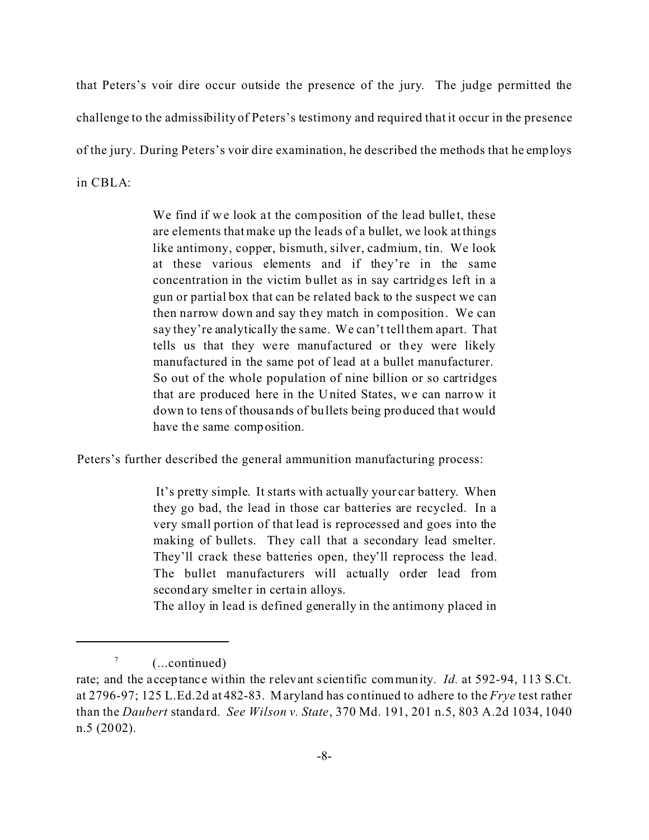that Peters's voir dire occur outside the presence of the jury. The judge permitted the challenge to the admissibility of Peters's testimony and required that it occur in the presence of the jury. During Peters's voir dire examination, he described the methods that he employs in CBLA:

> We find if we look at the composition of the lead bullet, these are elements that make up the leads of a bullet, we look at things like antimony, copper, bismuth, silver, cadmium, tin. We look at these various elements and if they're in the same concentration in the victim bullet as in say cartridges left in a gun or partial box that can be related back to the suspect we can then narrow down and say they match in composition. We can say they're analytically the same. We can't tell them apart. That tells us that they were manufactured or they were likely manufactured in the same pot of lead at a bullet manufacturer. So out of the whole population of nine billion or so cartridges that are produced here in the United States, we can narrow it down to tens of thousands of bullets being produced that would have the same composition.

Peters's further described the general ammunition manufacturing process:

 It's pretty simple. It starts with actually your car battery. When they go bad, the lead in those car batteries are recycled. In a very small portion of that lead is reprocessed and goes into the making of bullets. They call that a secondary lead smelter. They'll crack these batteries open, they'll reprocess the lead. The bullet manufacturers will actually order lead from secondary smelter in certain alloys.

The alloy in lead is defined generally in the antimony placed in

<sup>7</sup> (...continued)

rate; and the acceptance within the relevant scientific community. *Id.* at 592-94, 113 S.Ct. at 2796-97; 125 L.Ed.2d at 482-83. Maryland has continued to adhere to the *Frye* test rather than the *Daubert* standard. *See Wilson v. State*, 370 Md. 191, 201 n.5, 803 A.2d 1034, 1040 n.5 (2002).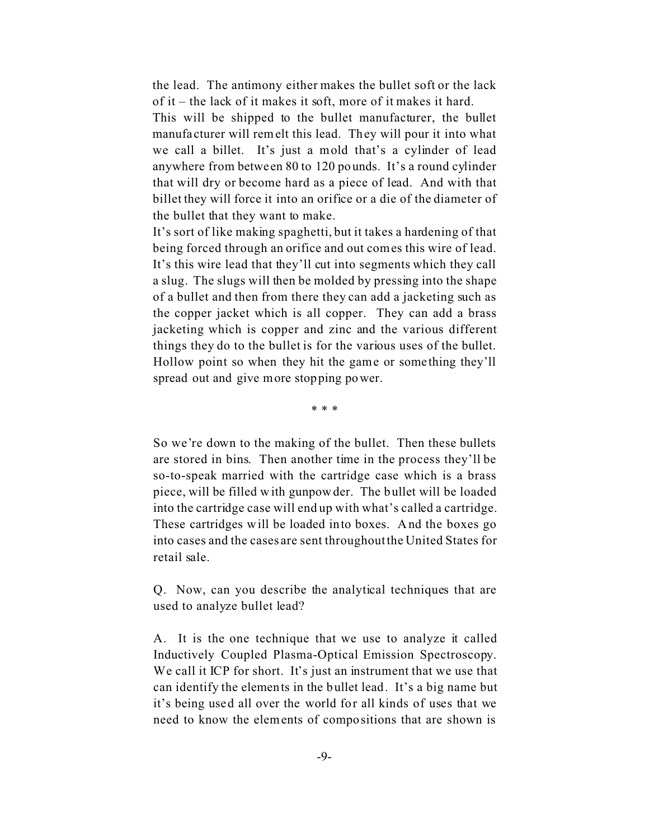the lead. The antimony either makes the bullet soft or the lack of it – the lack of it makes it soft, more of it makes it hard.

This will be shipped to the bullet manufacturer, the bullet manufa cturer will remelt this lead. They will pour it into what we call a billet. It's just a mold that's a cylinder of lead anywhere from betwe en 80 to 120 pounds. It's a round cylinder that will dry or become hard as a piece of lead. And with that billet they will force it into an orifice or a die of the diameter of the bullet that they want to make.

It's sort of like making spaghetti, but it takes a hardening of that being forced through an orifice and out comes this wire of lead. It's this wire lead that they'll cut into segments which they call a slug. The slugs will then be molded by pressing into the shape of a bullet and then from there they can add a jacketing such as the copper jacket which is all copper. They can add a brass jacketing which is copper and zinc and the various different things they do to the bullet is for the various uses of the bullet. Hollow point so when they hit the game or some thing they'll spread out and give more stopping power.

\* \* \*

So we're down to the making of the bullet. Then these bullets are stored in bins. Then another time in the process they'll be so-to-speak married with the cartridge case which is a brass piece, will be filled with gunpowder. The bullet will be loaded into the cartridge case will end up with what's called a cartridge. These cartridges will be loaded into boxes. And the boxes go into cases and the cases are sent throughout the United States for retail sale.

Q. Now, can you describe the analytical techniques that are used to analyze bullet lead?

A. It is the one technique that we use to analyze it called Inductively Coupled Plasma-Optical Emission Spectroscopy. We call it ICP for short. It's just an instrument that we use that can identify the elements in the bullet lead. It's a big name but it's being used all over the world for all kinds of uses that we need to know the elements of compositions that are shown is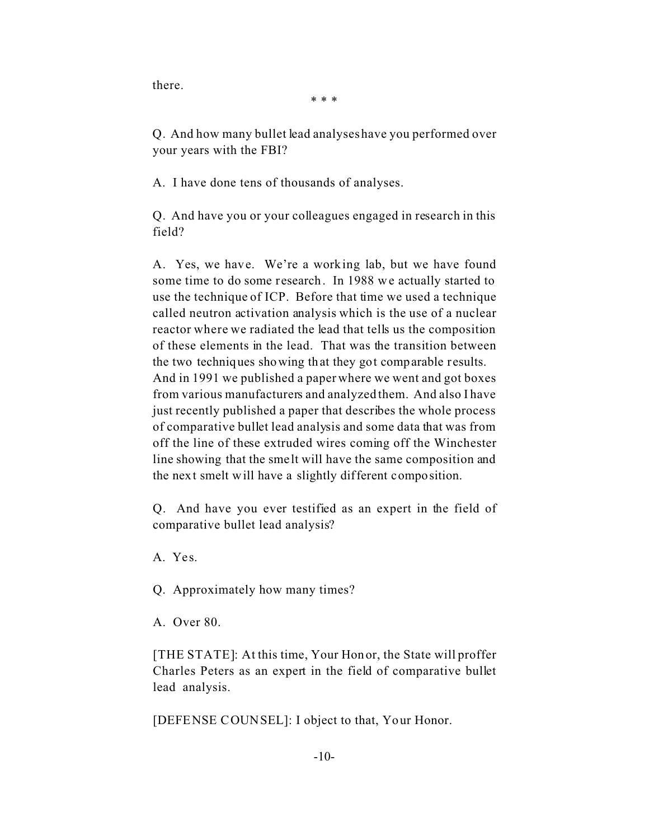there.

\* \* \*

Q. And how many bullet lead analyses have you performed over your years with the FBI?

A. I have done tens of thousands of analyses.

Q. And have you or your colleagues engaged in research in this field?

A. Yes, we have. We're a working lab, but we have found some time to do some research. In 1988 we actually started to use the technique of ICP. Before that time we used a technique called neutron activation analysis which is the use of a nuclear reactor where we radiated the lead that tells us the composition of these elements in the lead. That was the transition between the two techniques showing that they got comparable results. And in 1991 we published a paper where we went and got boxes from various manufacturers and analyzed them. And also I have just recently published a paper that describes the whole process of comparative bullet lead analysis and some data that was from off the line of these extruded wires coming off the Winchester line showing that the smelt will have the same composition and the next smelt will have a slightly different composition.

Q. And have you ever testified as an expert in the field of comparative bullet lead analysis?

A. Yes.

Q. Approximately how many times?

A. Over 80.

[THE STATE]: At this time, Your Honor, the State will proffer Charles Peters as an expert in the field of comparative bullet lead analysis.

[DEFENSE COUNSEL]: I object to that, Your Honor.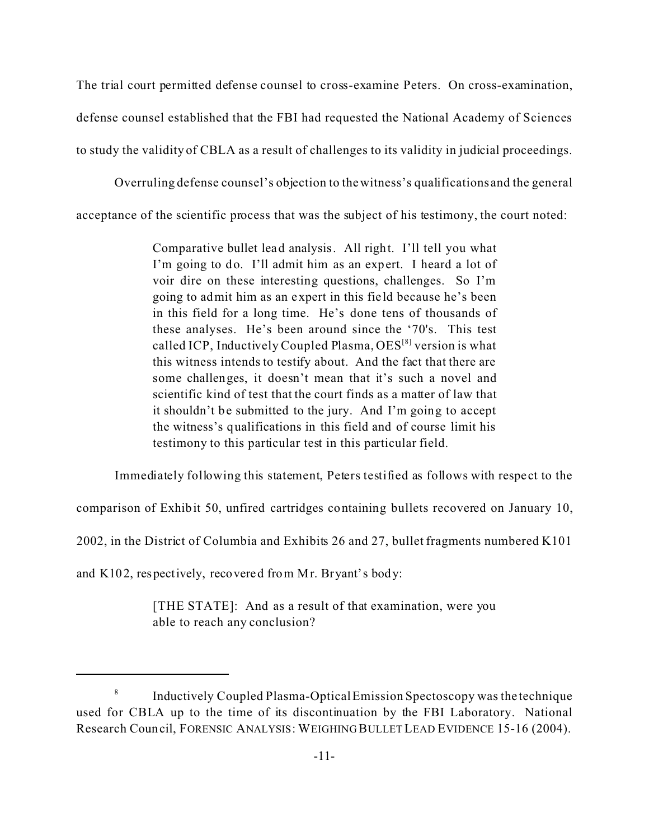The trial court permitted defense counsel to cross-examine Peters. On cross-examination, defense counsel established that the FBI had requested the National Academy of Sciences to study the validity of CBLA as a result of challenges to its validity in judicial proceedings.

Overruling defense counsel's objection to the witness's qualifications and the general

acceptance of the scientific process that was the subject of his testimony, the court noted:

Comparative bullet lead analysis. All right. I'll tell you what I'm going to do. I'll admit him as an expert. I heard a lot of voir dire on these interesting questions, challenges. So I'm going to admit him as an expert in this fie ld because he's been in this field for a long time. He's done tens of thousands of these analyses. He's been around since the '70's. This test called ICP, Inductively Coupled Plasma, OES<sup>[8]</sup> version is what this witness intends to testify about. And the fact that there are some challenges, it doesn't mean that it's such a novel and scientific kind of test that the court finds as a matter of law that it shouldn't be submitted to the jury. And I'm going to accept the witness's qualifications in this field and of course limit his testimony to this particular test in this particular field.

Immediately following this statement, Peters testified as follows with respect to the

comparison of Exhibit 50, unfired cartridges containing bullets recovered on January 10,

2002, in the District of Columbia and Exhibits 26 and 27, bullet fragments numbered K101

and K102, respectively, recovered from Mr. Bryant's body:

[THE STATE]: And as a result of that examination, were you able to reach any conclusion?

<sup>8</sup> Inductively Coupled Plasma-Optical Emission Spectoscopy was the technique used for CBLA up to the time of its discontinuation by the FBI Laboratory. National Research Council, FORENSIC ANALYSIS: WEIGHING BULLET LEAD EVIDENCE 15-16 (2004).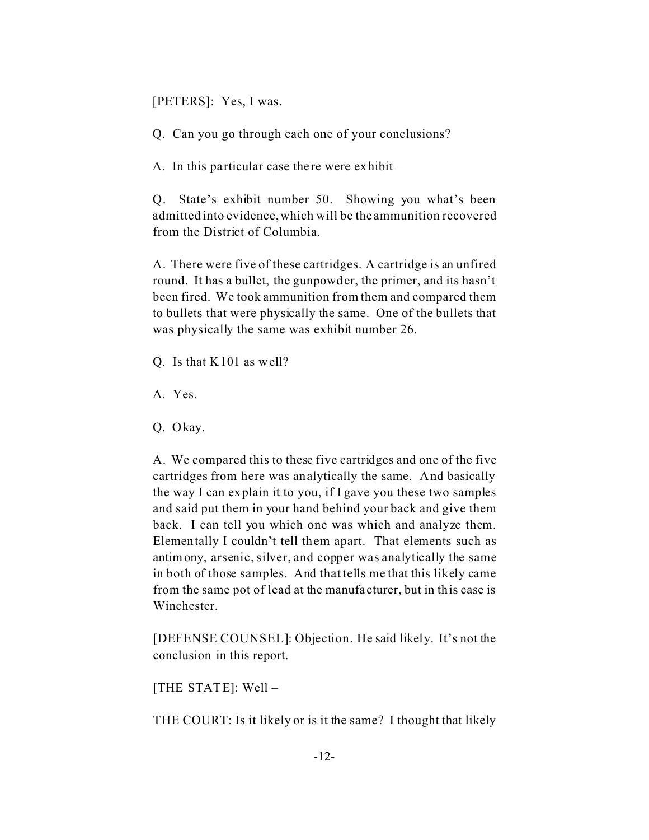[PETERS]: Yes, I was.

Q. Can you go through each one of your conclusions?

A. In this particular case there were exhibit  $-$ 

Q. State's exhibit number 50. Showing you what's been admitted into evidence, which will be the ammunition recovered from the District of Columbia.

A. There were five of these cartridges. A cartridge is an unfired round. It has a bullet, the gunpowder, the primer, and its hasn't been fired. We took ammunition from them and compared them to bullets that were physically the same. One of the bullets that was physically the same was exhibit number 26.

Q. Is that K101 as well?

A. Yes.

Q. Okay.

A. We compared this to these five cartridges and one of the five cartridges from here was analytically the same. And basically the way I can explain it to you, if I gave you these two samples and said put them in your hand behind your back and give them back. I can tell you which one was which and analyze them. Elementally I couldn't tell them apart. That elements such as antimony, arsenic, silver, and copper was analytically the same in both of those samples. And that tells me that this likely came from the same pot of lead at the manufa cturer, but in this case is Winchester.

[DEFENSE COUNSEL]: Objection. He said likely. It's not the conclusion in this report.

[THE STATE]: Well –

THE COURT: Is it likely or is it the same? I thought that likely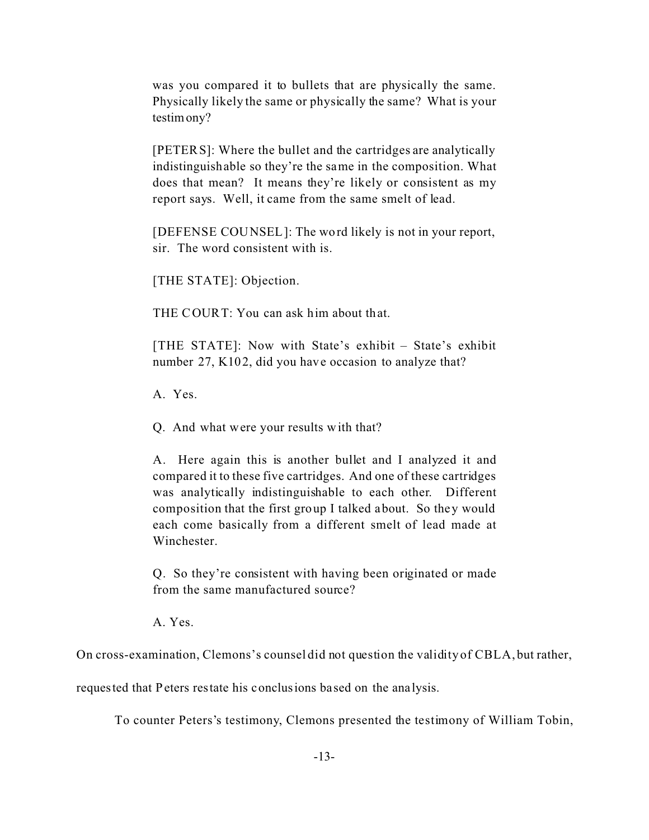was you compared it to bullets that are physically the same. Physically likely the same or physically the same? What is your testimony?

[PETERS]: Where the bullet and the cartridges are analytically indistinguishable so they're the same in the composition. What does that mean? It means they're likely or consistent as my report says. Well, it came from the same smelt of lead.

[DEFENSE COUNSEL]: The word likely is not in your report, sir. The word consistent with is.

[THE STATE]: Objection.

THE COURT: You can ask him about that.

[THE STATE]: Now with State's exhibit – State's exhibit number 27, K102, did you have occasion to analyze that?

A. Yes.

Q. And what were your results with that?

A. Here again this is another bullet and I analyzed it and compared it to these five cartridges. And one of these cartridges was analytically indistinguishable to each other. Different composition that the first group I talked about. So they would each come basically from a different smelt of lead made at Winchester.

Q. So they're consistent with having been originated or made from the same manufactured source?

A. Yes.

On cross-examination, Clemons's counsel did not question the validity of CBLA, but rather,

requested that Peters restate his conclusions based on the analysis.

To counter Peters's testimony, Clemons presented the testimony of William Tobin,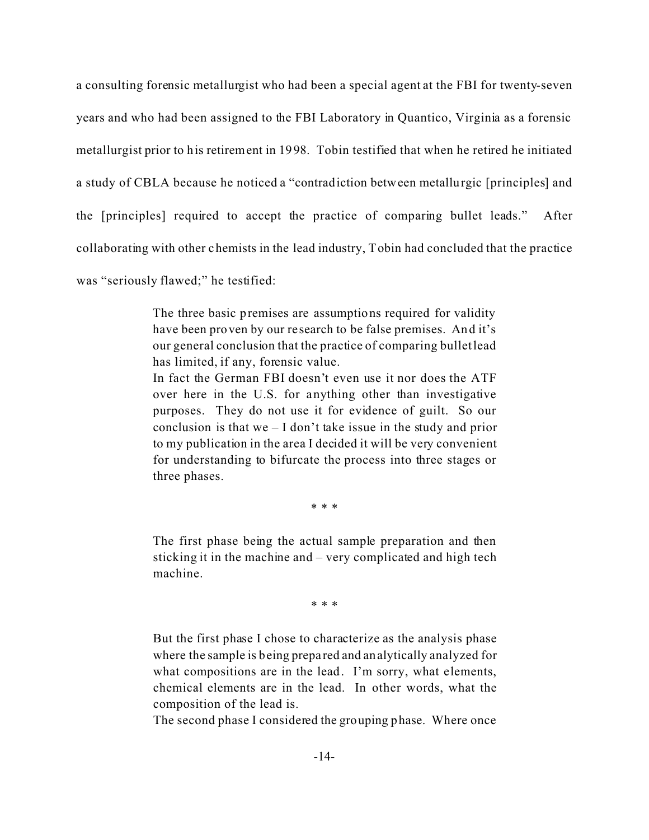a consulting forensic metallurgist who had been a special agent at the FBI for twenty-seven years and who had been assigned to the FBI Laboratory in Quantico, Virginia as a forensic metallurgist prior to his retirement in 1998. Tobin testified that when he retired he initiated a study of CBLA because he noticed a "contradiction between metallurgic [principles] and the [principles] required to accept the practice of comparing bullet leads." After collaborating with other chemists in the lead industry, Tobin had concluded that the practice was "seriously flawed;" he testified:

> The three basic premises are assumptions required for validity have been proven by our research to be false premises. And it's our general conclusion that the practice of comparing bullet lead has limited, if any, forensic value.

> In fact the German FBI doesn't even use it nor does the ATF over here in the U.S. for anything other than investigative purposes. They do not use it for evidence of guilt. So our conclusion is that we – I don't take issue in the study and prior to my publication in the area I decided it will be very convenient for understanding to bifurcate the process into three stages or three phases.

> > \* \* \*

The first phase being the actual sample preparation and then sticking it in the machine and – very complicated and high tech machine.

\* \* \*

But the first phase I chose to characterize as the analysis phase where the sample is being prepa red and analytically analyzed for what compositions are in the lead. I'm sorry, what elements, chemical elements are in the lead. In other words, what the composition of the lead is.

The second phase I considered the grouping phase. Where once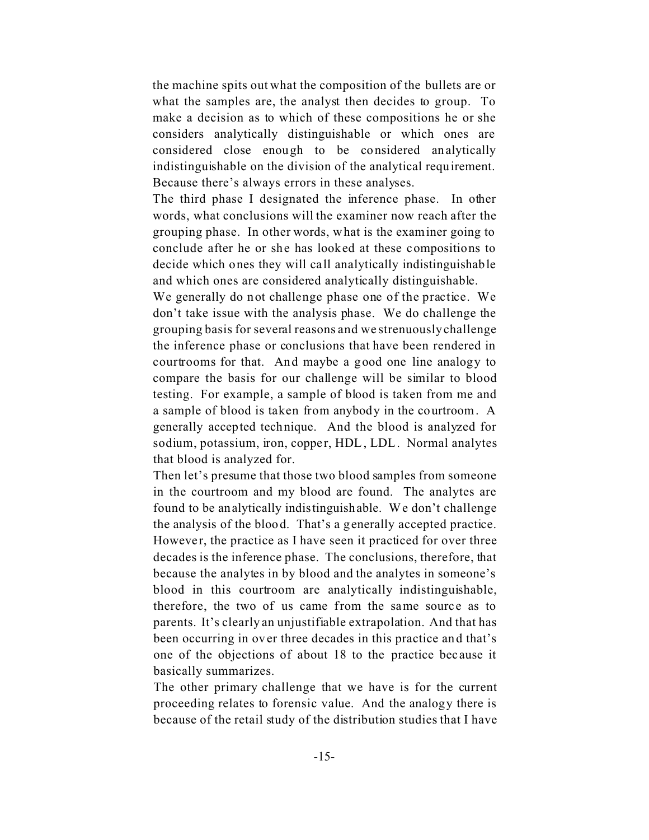the machine spits out what the composition of the bullets are or what the samples are, the analyst then decides to group. To make a decision as to which of these compositions he or she considers analytically distinguishable or which ones are considered close enough to be considered analytically indistinguishable on the division of the analytical requirement. Because there's always errors in these analyses.

The third phase I designated the inference phase. In other words, what conclusions will the examiner now reach after the grouping phase. In other words, what is the examiner going to conclude after he or she has looked at these compositions to decide which ones they will call analytically indistinguishable and which ones are considered analytically distinguishable.

We generally do not challenge phase one of the practice. We don't take issue with the analysis phase. We do challenge the grouping basis for several reasons and we strenuously challenge the inference phase or conclusions that have been rendered in courtrooms for that. And maybe a good one line analogy to compare the basis for our challenge will be similar to blood testing. For example, a sample of blood is taken from me and a sample of blood is taken from anybody in the courtroom. A generally accepted technique. And the blood is analyzed for sodium, potassium, iron, copper, HDL, LDL. Normal analytes that blood is analyzed for.

Then let's presume that those two blood samples from someone in the courtroom and my blood are found. The analytes are found to be analytically indistinguishable. We don't challenge the analysis of the blood. That's a generally accepted practice. However, the practice as I have seen it practiced for over three decades is the inference phase. The conclusions, therefore, that because the analytes in by blood and the analytes in someone's blood in this courtroom are analytically indistinguishable, therefore, the two of us came from the same source as to parents. It's clearly an unjustifiable extrapolation. And that has been occurring in over three decades in this practice and that's one of the objections of about 18 to the practice bec ause it basically summarizes.

The other primary challenge that we have is for the current proceeding relates to forensic value. And the analogy there is because of the retail study of the distribution studies that I have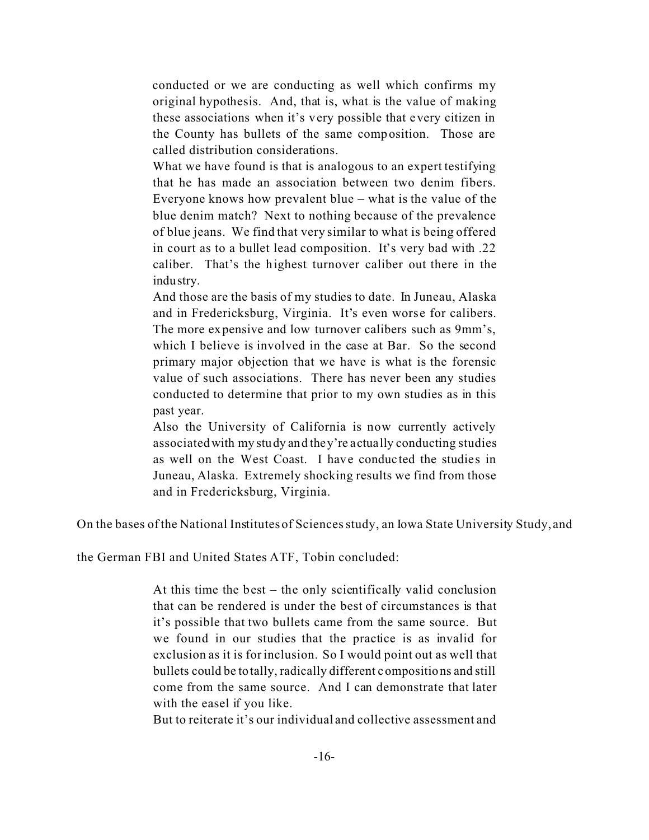conducted or we are conducting as well which confirms my original hypothesis. And, that is, what is the value of making these associations when it's very possible that every citizen in the County has bullets of the same composition. Those are called distribution considerations.

What we have found is that is analogous to an expert testifying that he has made an association between two denim fibers. Everyone knows how prevalent blue – what is the value of the blue denim match? Next to nothing because of the prevalence of blue jeans. We find that very similar to what is being offered in court as to a bullet lead composition. It's very bad with .22 caliber. That's the highest turnover caliber out there in the industry.

And those are the basis of my studies to date. In Juneau, Alaska and in Fredericksburg, Virginia. It's even worse for calibers. The more expensive and low turnover calibers such as 9mm's, which I believe is involved in the case at Bar. So the second primary major objection that we have is what is the forensic value of such associations. There has never been any studies conducted to determine that prior to my own studies as in this past year.

Also the University of California is now currently actively associated with my study and they're actually conducting studies as well on the West Coast. I have conducted the studies in Juneau, Alaska. Extremely shocking results we find from those and in Fredericksburg, Virginia.

On the bases of the National Institutes of Sciences study, an Iowa State University Study, and

the German FBI and United States ATF, Tobin concluded:

At this time the best – the only scientifically valid conclusion that can be rendered is under the best of circumstances is that it's possible that two bullets came from the same source. But we found in our studies that the practice is as invalid for exclusion as it is for inclusion. So I would point out as well that bullets could be totally, radically different compositions and still come from the same source. And I can demonstrate that later with the easel if you like.

But to reiterate it's our individual and collective assessment and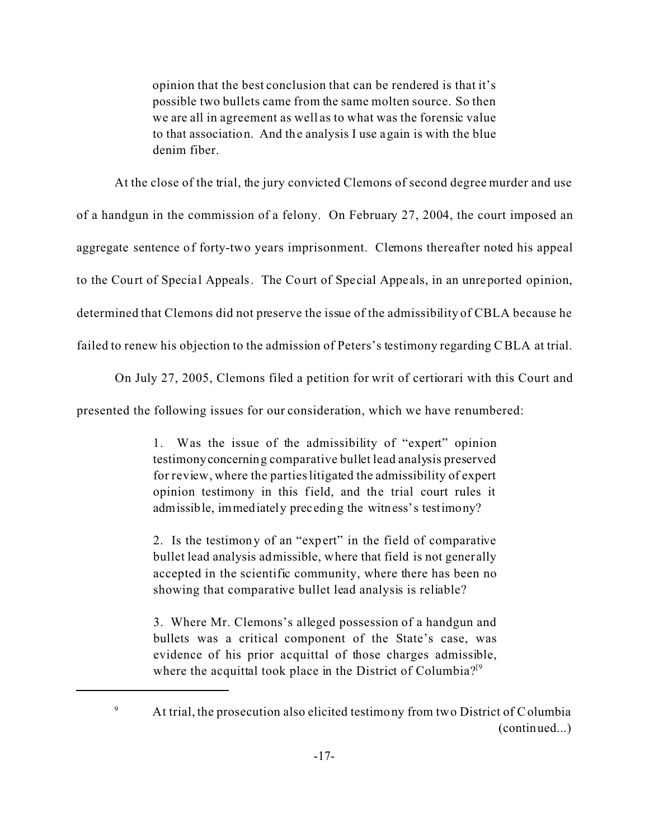opinion that the best conclusion that can be rendered is that it's possible two bullets came from the same molten source. So then we are all in agreement as well as to what was the forensic value to that association. And the analysis I use again is with the blue denim fiber.

At the close of the trial, the jury convicted Clemons of second degree murder and use

of a handgun in the commission of a felony. On February 27, 2004, the court imposed an

aggregate sentence of forty-two years imprisonment. Clemons thereafter noted his appeal

to the Court of Special Appeals. The Court of Special Appeals, in an unreported opinion,

determined that Clemons did not preserve the issue of the admissibility of CBLA because he

failed to renew his objection to the admission of Peters's testimony regarding CBLA at trial.

On July 27, 2005, Clemons filed a petition for writ of certiorari with this Court and

presented the following issues for our consideration, which we have renumbered:

1. Was the issue of the admissibility of "expert" opinion testimonyconcerning comparative bullet lead analysis preserved for review, where the parties litigated the admissibility of expert opinion testimony in this field, and the trial court rules it admissible, immediately preceding the witness's testimony?

2. Is the testimony of an "expert" in the field of comparative bullet lead analysis admissible, where that field is not generally accepted in the scientific community, where there has been no showing that comparative bullet lead analysis is reliable?

3. Where Mr. Clemons's alleged possession of a handgun and bullets was a critical component of the State's case, was evidence of his prior acquittal of those charges admissible, where the acquittal took place in the District of Columbia? $[9]$ 

<sup>&</sup>lt;sup>9</sup> At trial, the prosecution also elicited testimony from two District of Columbia (continued...)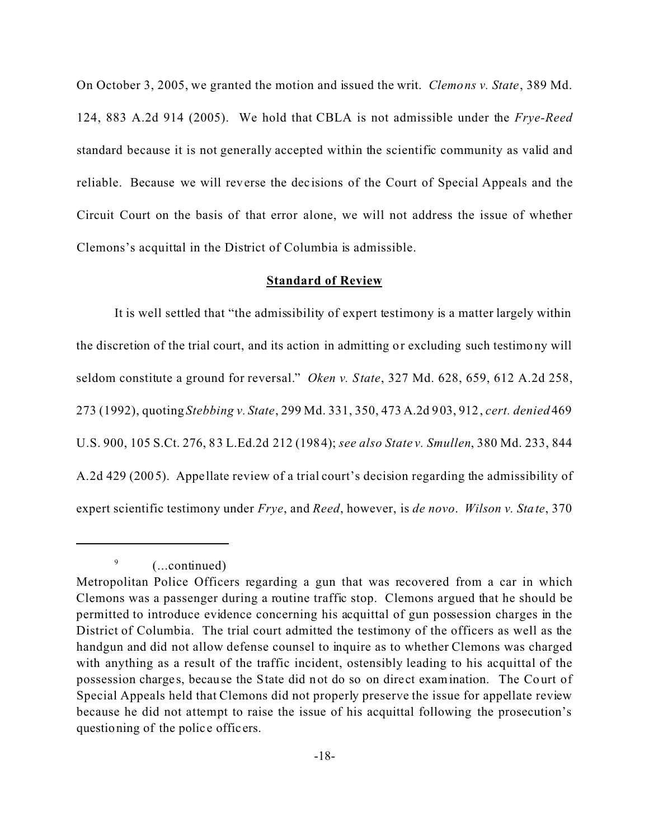On October 3, 2005, we granted the motion and issued the writ. *Clemons v. State*, 389 Md. 124, 883 A.2d 914 (2005). We hold that CBLA is not admissible under the *Frye-Reed* standard because it is not generally accepted within the scientific community as valid and reliable. Because we will reverse the dec isions of the Court of Special Appeals and the Circuit Court on the basis of that error alone, we will not address the issue of whether Clemons's acquittal in the District of Columbia is admissible.

### **Standard of Review**

It is well settled that "the admissibility of expert testimony is a matter largely within the discretion of the trial court, and its action in admitting or excluding such testimony will seldom constitute a ground for reversal." *Oken v. State*, 327 Md. 628, 659, 612 A.2d 258, 273 (1992), quoting *Stebbing v. State*, 299 Md. 331, 350, 473 A.2d 903, 912, *cert. denied* 469 U.S. 900, 105 S.Ct. 276, 83 L.Ed.2d 212 (1984); *see also State v. Smullen*, 380 Md. 233, 844 A.2d 429 (2005). Appe llate review of a trial court's decision regarding the admissibility of expert scientific testimony under *Frye*, and *Reed*, however, is *de novo*. *Wilson v. State*, 370

(...continued)

9

Metropolitan Police Officers regarding a gun that was recovered from a car in which Clemons was a passenger during a routine traffic stop. Clemons argued that he should be permitted to introduce evidence concerning his acquittal of gun possession charges in the District of Columbia. The trial court admitted the testimony of the officers as well as the handgun and did not allow defense counsel to inquire as to whether Clemons was charged with anything as a result of the traffic incident, ostensibly leading to his acquittal of the possession charge s, because the State did not do so on direct examination. The Co urt of Special Appeals held that Clemons did not properly preserve the issue for appellate review because he did not attempt to raise the issue of his acquittal following the prosecution's questioning of the police officers.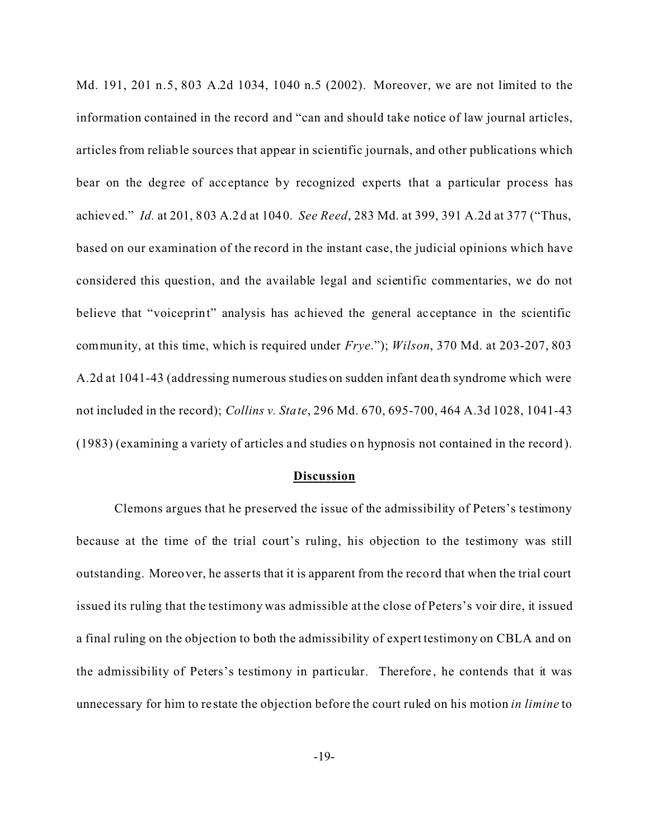Md. 191, 201 n.5, 803 A.2d 1034, 1040 n.5 (2002). Moreover, we are not limited to the information contained in the record and "can and should take notice of law journal articles, articles from reliable sources that appear in scientific journals, and other publications which bear on the degree of acceptance by recognized experts that a particular process has achieved." *Id.* at 201, 803 A.2d at 1040. *See Reed*, 283 Md. at 399, 391 A.2d at 377 ("Thus, based on our examination of the record in the instant case, the judicial opinions which have considered this question, and the available legal and scientific commentaries, we do not believe that "voiceprint" analysis has achieved the general acceptance in the scientific community, at this time, which is required under *Frye*."); *Wilson*, 370 Md. at 203-207, 803 A.2d at 1041-43 (addressing numerous studies on sudden infant dea th syndrome which were not included in the record); *Collins v. State*, 296 Md. 670, 695-700, 464 A.3d 1028, 1041-43 (1983) (examining a variety of articles and studies on hypnosis not contained in the record).

#### **Discussion**

Clemons argues that he preserved the issue of the admissibility of Peters's testimony because at the time of the trial court's ruling, his objection to the testimony was still outstanding. Moreover, he asserts that it is apparent from the record that when the trial court issued its ruling that the testimony was admissible at the close of Peters's voir dire, it issued a final ruling on the objection to both the admissibility of expert testimony on CBLA and on the admissibility of Peters's testimony in particular. Therefore , he contends that it was unnecessary for him to re state the objection before the court ruled on his motion *in limine* to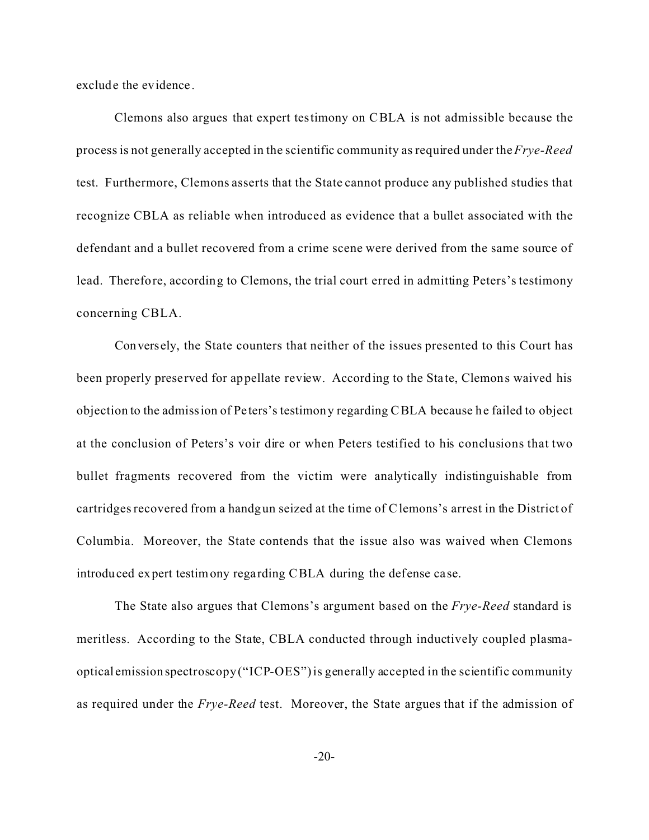exclude the evidence.

Clemons also argues that expert testimony on CBLA is not admissible because the process is not generally accepted in the scientific community as required under the *Frye-Reed* test. Furthermore, Clemons asserts that the State cannot produce any published studies that recognize CBLA as reliable when introduced as evidence that a bullet associated with the defendant and a bullet recovered from a crime scene were derived from the same source of lead. Therefore, according to Clemons, the trial court erred in admitting Peters's testimony concerning CBLA.

Conversely, the State counters that neither of the issues presented to this Court has been properly preserved for appellate review. According to the State, Clemons waived his objection to the admission of Peters's testimony regarding CBLA because he failed to object at the conclusion of Peters's voir dire or when Peters testified to his conclusions that two bullet fragments recovered from the victim were analytically indistinguishable from cartridges recovered from a handgun seized at the time of Clemons's arrest in the District of Columbia. Moreover, the State contends that the issue also was waived when Clemons introduced expert testimony regarding CBLA during the defense case.

The State also argues that Clemons's argument based on the *Frye-Reed* standard is meritless. According to the State, CBLA conducted through inductively coupled plasmaoptical emission spectroscopy ("ICP-OES") is generally accepted in the scientific community as required under the *Frye-Reed* test. Moreover, the State argues that if the admission of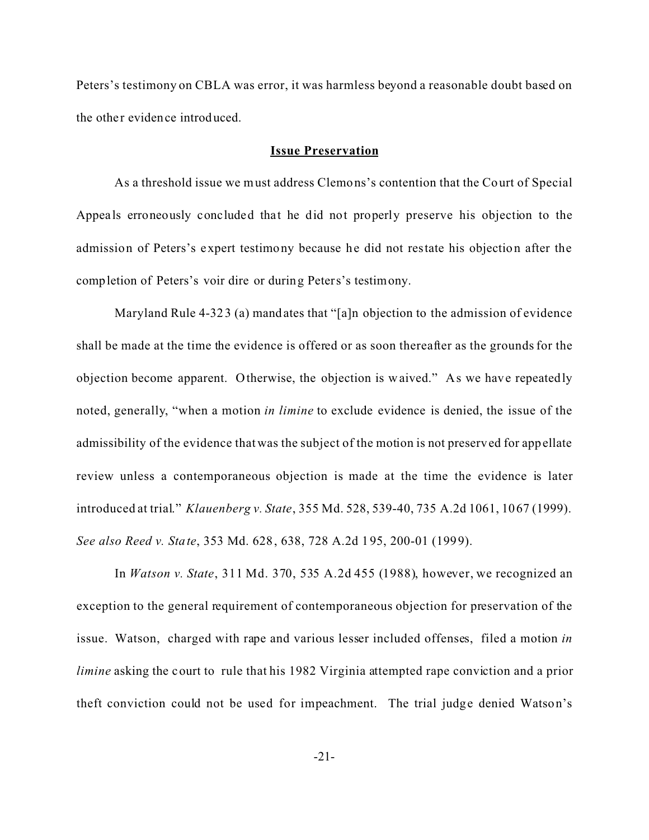Peters's testimony on CBLA was error, it was harmless beyond a reasonable doubt based on the other evidence introduced.

#### **Issue Preservation**

As a threshold issue we must address Clemons's contention that the Court of Special Appeals erroneously concluded that he did not properly preserve his objection to the admission of Peters's expert testimony because he did not restate his objection after the completion of Peters's voir dire or during Peters's testimony.

Maryland Rule 4-323 (a) mandates that "[a]n objection to the admission of evidence shall be made at the time the evidence is offered or as soon thereafter as the grounds for the objection become apparent. Otherwise, the objection is waived." As we have repeatedly noted, generally, "when a motion *in limine* to exclude evidence is denied, the issue of the admissibility of the evidence that was the subject of the motion is not preserved for appellate review unless a contemporaneous objection is made at the time the evidence is later introduced at trial." *Klauenberg v. State*, 355 Md. 528, 539-40, 735 A.2d 1061, 1067 (1999). *See also Reed v. State*, 353 Md. 628, 638, 728 A.2d 195, 200-01 (1999).

In *Watson v. State*, 311 Md. 370, 535 A.2d 455 (1988), however, we recognized an exception to the general requirement of contemporaneous objection for preservation of the issue. Watson, charged with rape and various lesser included offenses, filed a motion *in limine* asking the court to rule that his 1982 Virginia attempted rape conviction and a prior theft conviction could not be used for impeachment. The trial judge denied Watson's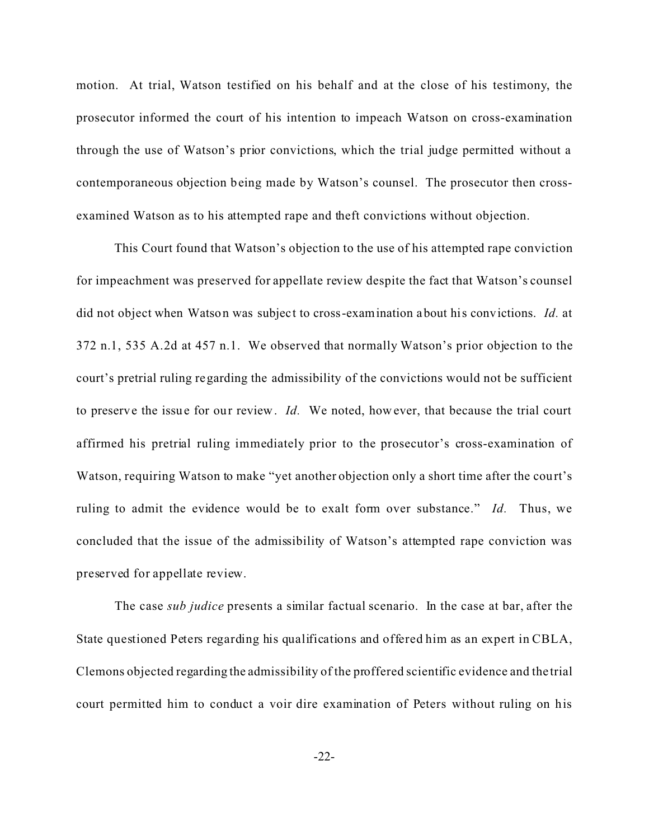motion. At trial, Watson testified on his behalf and at the close of his testimony, the prosecutor informed the court of his intention to impeach Watson on cross-examination through the use of Watson's prior convictions, which the trial judge permitted without a contemporaneous objection being made by Watson's counsel. The prosecutor then crossexamined Watson as to his attempted rape and theft convictions without objection.

This Court found that Watson's objection to the use of his attempted rape conviction for impeachment was preserved for appellate review despite the fact that Watson's counsel did not object when Watson was subject to cross-examination about his convictions. *Id.* at 372 n.1, 535 A.2d at 457 n.1. We observed that normally Watson's prior objection to the court's pretrial ruling regarding the admissibility of the convictions would not be sufficient to preserve the issue for our review. *Id.* We noted, however, that because the trial court affirmed his pretrial ruling immediately prior to the prosecutor's cross-examination of Watson, requiring Watson to make "yet another objection only a short time after the court's ruling to admit the evidence would be to exalt form over substance." *Id.* Thus, we concluded that the issue of the admissibility of Watson's attempted rape conviction was preserved for appellate review.

The case *sub judice* presents a similar factual scenario. In the case at bar, after the State questioned Peters regarding his qualifications and offered him as an expert in CBLA, Clemons objected regarding the admissibility of the proffered scientific evidence and the trial court permitted him to conduct a voir dire examination of Peters without ruling on his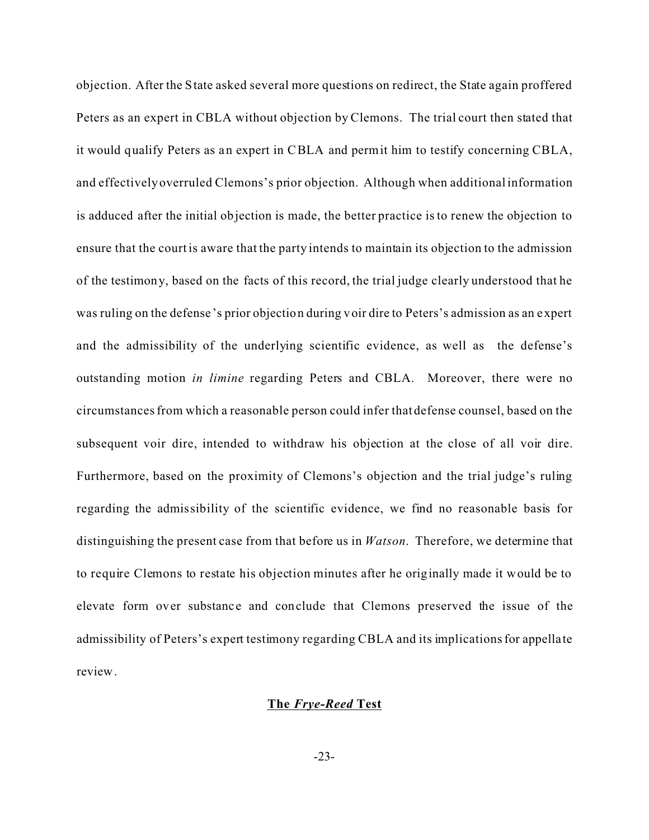objection. After the State asked several more questions on redirect, the State again proffered Peters as an expert in CBLA without objection by Clemons. The trial court then stated that it would qualify Peters as an expert in CBLA and permit him to testify concerning CBLA, and effectively overruled Clemons's prior objection. Although when additional information is adduced after the initial objection is made, the better practice is to renew the objection to ensure that the court is aware that the party intends to maintain its objection to the admission of the testimony, based on the facts of this record, the trial judge clearly understood that he was ruling on the defense 's prior objection during voir dire to Peters's admission as an expert and the admissibility of the underlying scientific evidence, as well as the defense's outstanding motion *in limine* regarding Peters and CBLA. Moreover, there were no circumstances from which a reasonable person could infer that defense counsel, based on the subsequent voir dire, intended to withdraw his objection at the close of all voir dire. Furthermore, based on the proximity of Clemons's objection and the trial judge's ruling regarding the admissibility of the scientific evidence, we find no reasonable basis for distinguishing the present case from that before us in *Watson*. Therefore, we determine that to require Clemons to restate his objection minutes after he originally made it would be to elevate form over substance and conclude that Clemons preserved the issue of the admissibility of Peters's expert testimony regarding CBLA and its implications for appellate review.

### **The** *Frye-Reed* **Test**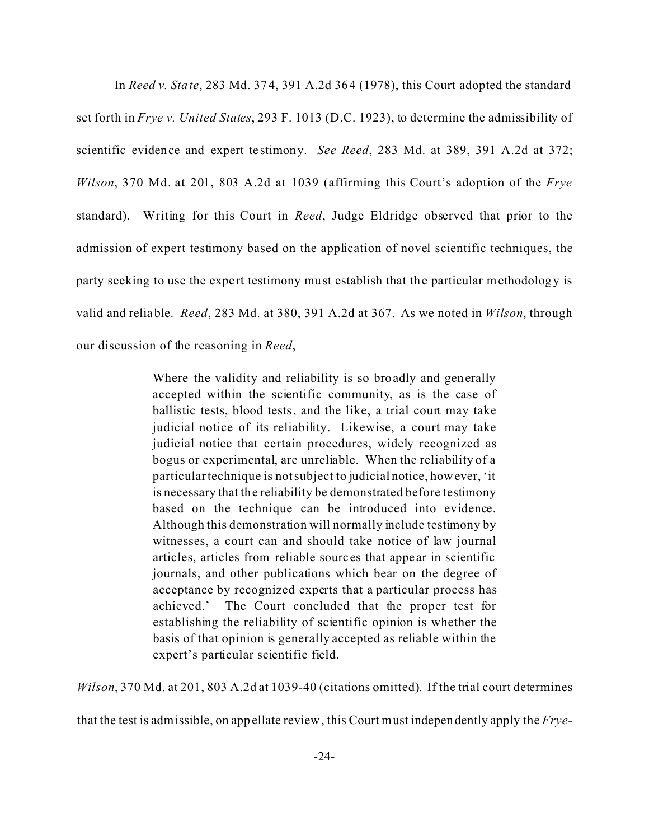In *Reed v. State*, 283 Md. 374, 391 A.2d 364 (1978), this Court adopted the standard set forth in *Frye v. United States*, 293 F. 1013 (D.C. 1923), to determine the admissibility of scientific evidence and expert te stimony. *See Reed*, 283 Md. at 389, 391 A.2d at 372; *Wilson*, 370 Md. at 201, 803 A.2d at 1039 (affirming this Court's adoption of the *Frye* standard). Writing for this Court in *Reed*, Judge Eldridge observed that prior to the admission of expert testimony based on the application of novel scientific techniques, the party seeking to use the expert testimony must establish that the particular methodology is valid and reliable. *Reed*, 283 Md. at 380, 391 A.2d at 367. As we noted in *Wilson*, through our discussion of the reasoning in *Reed*,

> Where the validity and reliability is so broadly and generally accepted within the scientific community, as is the case of ballistic tests, blood tests, and the like, a trial court may take judicial notice of its reliability. Likewise, a court may take judicial notice that certain procedures, widely recognized as bogus or experimental, are unreliable. When the reliability of a particular technique is not subject to judicial notice, however, 'it is necessary that the reliability be demonstrated before testimony based on the technique can be introduced into evidence. Although this demonstration will normally include testimony by witnesses, a court can and should take notice of law journal articles, articles from reliable sourc es that appe ar in scientific journals, and other publications which bear on the degree of acceptance by recognized experts that a particular process has achieved.' The Court concluded that the proper test for establishing the reliability of scientific opinion is whether the basis of that opinion is generally accepted as reliable within the expert's particular scientific field.

*Wilson*, 370 Md. at 201, 803 A.2d at 1039-40 (citations omitted). If the trial court determines

that the test is admissible, on appellate review, this Court must independently apply the *Frye-*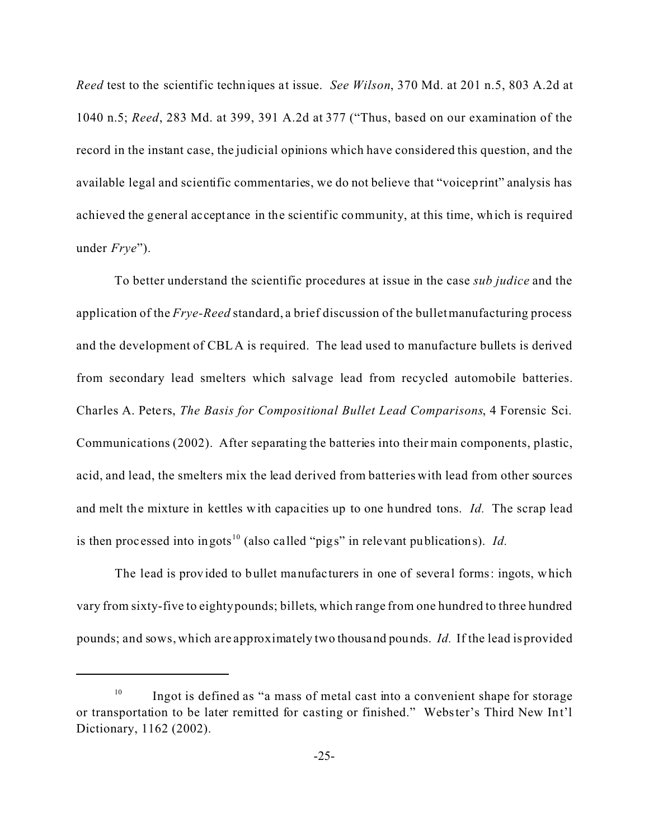*Reed* test to the scientific techniques at issue. *See Wilson*, 370 Md. at 201 n.5, 803 A.2d at 1040 n.5; *Reed*, 283 Md. at 399, 391 A.2d at 377 ("Thus, based on our examination of the record in the instant case, the judicial opinions which have considered this question, and the available legal and scientific commentaries, we do not believe that "voiceprint" analysis has achieved the general acceptance in the scientific community, at this time, which is required under *Frye*").

To better understand the scientific procedures at issue in the case *sub judice* and the application of the *Frye-Reed* standard, a brief discussion of the bullet manufacturing process and the development of CBLA is required. The lead used to manufacture bullets is derived from secondary lead smelters which salvage lead from recycled automobile batteries. Charles A. Peters, *The Basis for Compositional Bullet Lead Comparisons*, 4 Forensic Sci. Communications (2002). After separating the batteries into their main components, plastic, acid, and lead, the smelters mix the lead derived from batteries with lead from other sources and melt the mixture in kettles with capa cities up to one hundred tons. *Id.* The scrap lead is then processed into ingots<sup>10</sup> (also called "pigs" in relevant publications). *Id.* 

The lead is provided to bullet manufacturers in one of several forms: ingots, which vary from sixty-five to eighty pounds; billets, which range from one hundred to three hundred pounds; and sows, which are approximately two thousand pounds. *Id.* If the lead is provided

Ingot is defined as "a mass of metal cast into a convenient shape for storage or transportation to be later remitted for casting or finished." Webster's Third New Int'l Dictionary, 1162 (2002).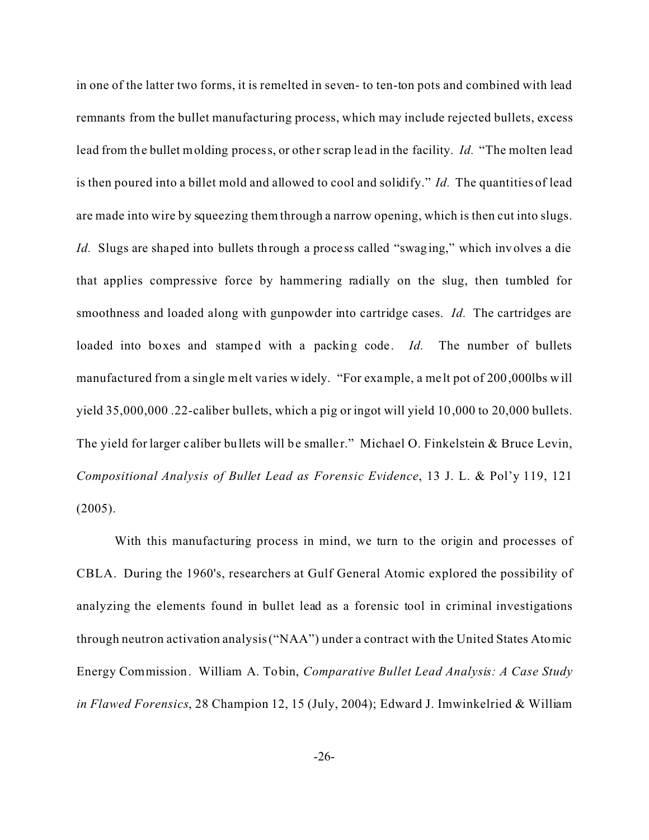in one of the latter two forms, it is remelted in seven- to ten-ton pots and combined with lead remnants from the bullet manufacturing process, which may include rejected bullets, excess lead from the bullet molding process, or other scrap lead in the facility. *Id.* "The molten lead is then poured into a billet mold and allowed to cool and solidify." *Id.* The quantities of lead are made into wire by squeezing them through a narrow opening, which is then cut into slugs. *Id.* Slugs are shaped into bullets through a process called "swaging," which involves a die that applies compressive force by hammering radially on the slug, then tumbled for smoothness and loaded along with gunpowder into cartridge cases. *Id.* The cartridges are loaded into boxes and stamped with a packing code. *Id*. The number of bullets manufactured from a single melt varies widely. "For example, a melt pot of 200,000lbs will yield 35,000,000 .22-caliber bullets, which a pig or ingot will yield 10,000 to 20,000 bullets. The yield for larger caliber bullets will be smaller." Michael O. Finkelstein & Bruce Levin, *Compositional Analysis of Bullet Lead as Forensic Evidence*, 13 J. L. & Pol'y 119, 121 (2005).

With this manufacturing process in mind, we turn to the origin and processes of CBLA. During the 1960's, researchers at Gulf General Atomic explored the possibility of analyzing the elements found in bullet lead as a forensic tool in criminal investigations through neutron activation analysis ("NAA") under a contract with the United States Atomic Energy Commission. William A. Tobin, *Comparative Bullet Lead Analysis: A Case Study in Flawed Forensics*, 28 Champion 12, 15 (July, 2004); Edward J. Imwinkelried & William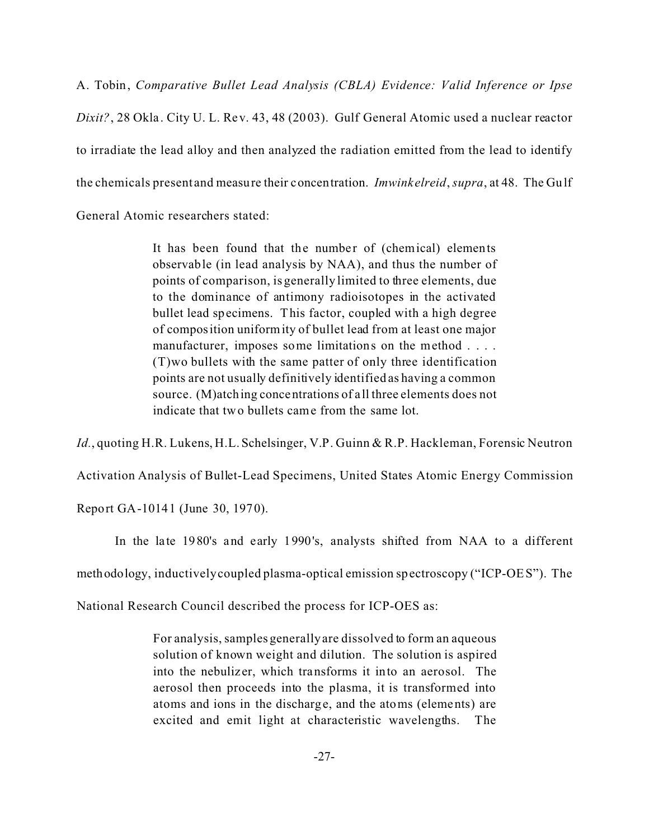A. Tobin, *Comparative Bullet Lead Analysis (CBLA) Evidence: Valid Inference or Ipse Dixit?*, 28 Okla . City U. L. Rev. 43, 48 (2003). Gulf General Atomic used a nuclear reactor to irradiate the lead alloy and then analyzed the radiation emitted from the lead to identify the chemicals present and measure their concentration. *Imwink elreid*, *supra*, at 48. The Gulf General Atomic researchers stated:

> It has been found that the number of (chemical) elements observable (in lead analysis by NAA), and thus the number of points of comparison, is generally limited to three elements, due to the dominance of antimony radioisotopes in the activated bullet lead specimens. This factor, coupled with a high degree of composition uniformity of bullet lead from at least one major manufacturer, imposes some limitations on the method . . . . (T)wo bullets with the same patter of only three identification points are not usually definitively identified as having a common source. (M)atching concentrations of a ll three elements does not indicate that two bullets came from the same lot.

*Id.*, quoting H.R. Lukens, H.L. Schelsinger, V.P. Guinn & R.P. Hackleman, Forensic Neutron

Activation Analysis of Bullet-Lead Specimens, United States Atomic Energy Commission

Report GA-10141 (June 30, 1970).

In the late 1980's and early 1990's, analysts shifted from NAA to a different

methodology, inductively coupled plasma-optical emission spectroscopy ("ICP-OES"). The

National Research Council described the process for ICP-OES as:

For analysis, samples generally are dissolved to form an aqueous solution of known weight and dilution. The solution is aspired into the nebulizer, which transforms it into an aerosol. The aerosol then proceeds into the plasma, it is transformed into atoms and ions in the discharge, and the atoms (elements) are excited and emit light at characteristic wavelengths. The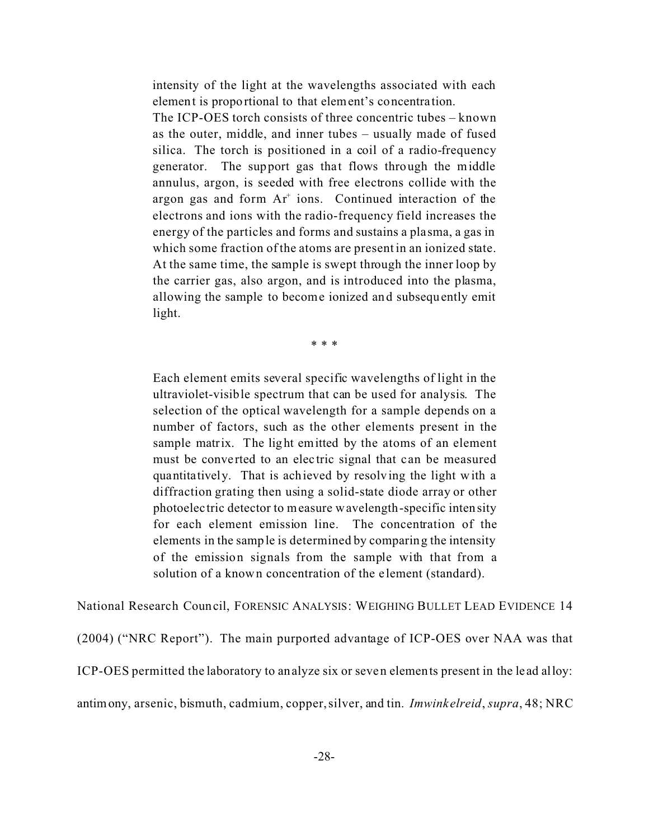intensity of the light at the wavelengths associated with each element is proportional to that element's concentra tion.

The ICP-OES torch consists of three concentric tubes – known as the outer, middle, and inner tubes – usually made of fused silica. The torch is positioned in a coil of a radio-frequency generator. The support gas that flows through the middle annulus, argon, is seeded with free electrons collide with the argon gas and form Ar<sup>+</sup> ions. Continued interaction of the electrons and ions with the radio-frequency field increases the energy of the particles and forms and sustains a pla sma, a gas in which some fraction of the atoms are present in an ionized state. At the same time, the sample is swept through the inner loop by the carrier gas, also argon, and is introduced into the plasma, allowing the sample to become ionized and subsequently emit light.

\* \* \*

Each element emits several specific wavelengths of light in the ultraviolet-visible spectrum that can be used for analysis. The selection of the optical wavelength for a sample depends on a number of factors, such as the other elements present in the sample matrix. The light emitted by the atoms of an element must be converted to an electric signal that can be measured quantitatively. That is achieved by resolving the light with a diffraction grating then using a solid-state diode array or other photoelec tric detector to measure wavelength-specific intensity for each element emission line. The concentration of the elements in the sample is determined by comparing the intensity of the emission signals from the sample with that from a solution of a known concentration of the e lement (standard).

National Research Council, FORENSIC ANALYSIS: WEIGHING BULLET LEAD EVIDENCE 14 (2004) ("NRC Report"). The main purported advantage of ICP-OES over NAA was that ICP-OES permitted the laboratory to analyze six or seven elements present in the le ad alloy: antimony, arsenic, bismuth, cadmium, copper, silver, and tin. *Imwink elreid*, *supra*, 48; NRC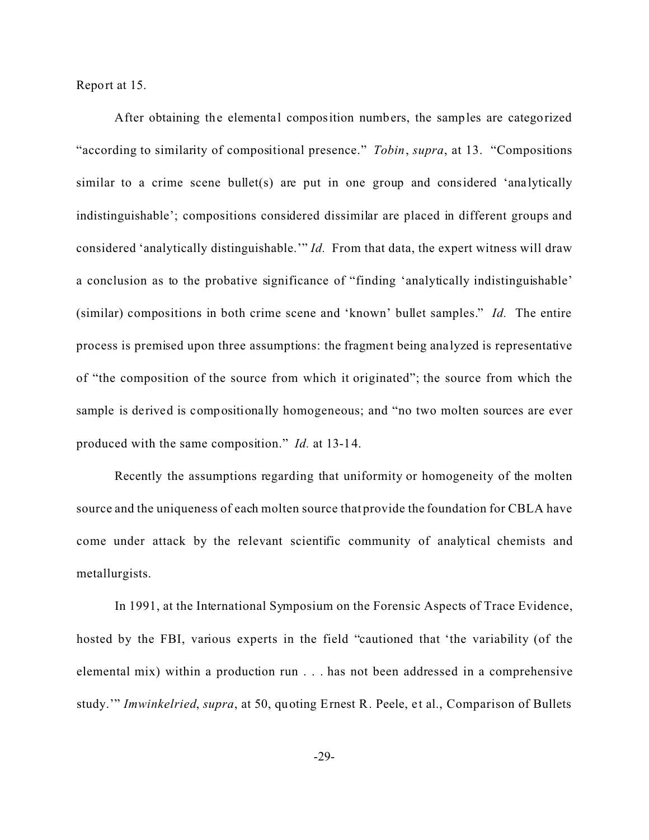Report at 15.

After obtaining the elemental composition numbers, the samples are categorized "according to similarity of compositional presence." *Tobin*, *supra*, at 13. "Compositions similar to a crime scene bullet(s) are put in one group and considered 'analytically indistinguishable'; compositions considered dissimilar are placed in different groups and considered 'analytically distinguishable.'" *Id.* From that data, the expert witness will draw a conclusion as to the probative significance of "finding 'analytically indistinguishable' (similar) compositions in both crime scene and 'known' bullet samples." *Id.* The entire process is premised upon three assumptions: the fragment being ana lyzed is representative of "the composition of the source from which it originated"; the source from which the sample is derived is compositionally homogeneous; and "no two molten sources are ever produced with the same composition." *Id.* at 13-14.

Recently the assumptions regarding that uniformity or homogeneity of the molten source and the uniqueness of each molten source that provide the foundation for CBLA have come under attack by the relevant scientific community of analytical chemists and metallurgists.

In 1991, at the International Symposium on the Forensic Aspects of Trace Evidence, hosted by the FBI, various experts in the field "cautioned that 'the variability (of the elemental mix) within a production run . . . has not been addressed in a comprehensive study.'" *Imwinkelried*, *supra*, at 50, quoting Ernest R. Peele, et al., Comparison of Bullets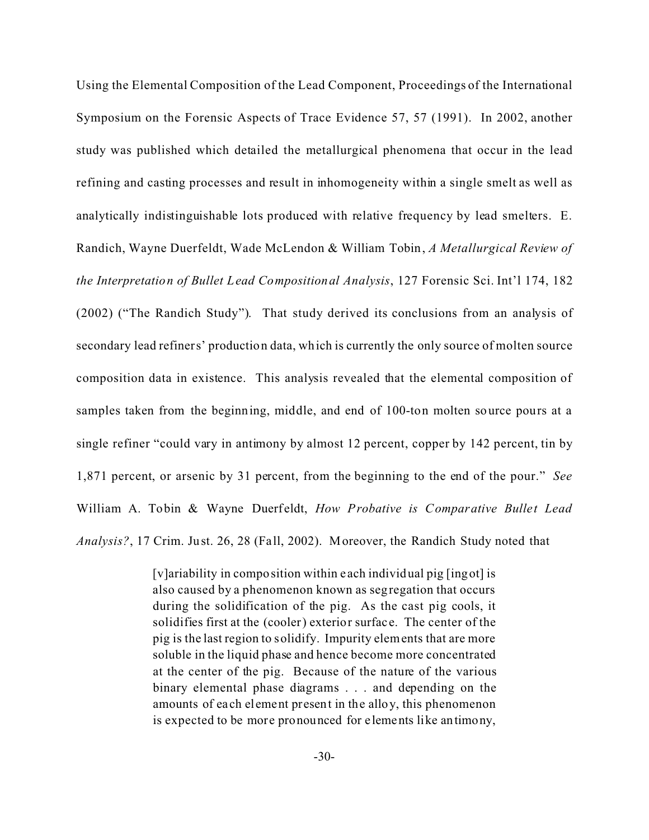Using the Elemental Composition of the Lead Component, Proceedings of the International Symposium on the Forensic Aspects of Trace Evidence 57, 57 (1991). In 2002, another study was published which detailed the metallurgical phenomena that occur in the lead refining and casting processes and result in inhomogeneity within a single smelt as well as analytically indistinguishable lots produced with relative frequency by lead smelters. E. Randich, Wayne Duerfeldt, Wade McLendon & William Tobin, *A Metallurgical Review of the Interpretation of Bullet Lead Compositional Analysis*, 127 Forensic Sci. Int'l 174, 182 (2002) ("The Randich Study"). That study derived its conclusions from an analysis of secondary lead refiners' production data, which is currently the only source of molten source composition data in existence. This analysis revealed that the elemental composition of samples taken from the beginning, middle, and end of 100-ton molten source pours at a single refiner "could vary in antimony by almost 12 percent, copper by 142 percent, tin by 1,871 percent, or arsenic by 31 percent, from the beginning to the end of the pour." *See* William A. Tobin & Wayne Duerf eldt, *How Probative is Comparative Bullet Lead Analysis?*, 17 Crim. Just. 26, 28 (Fall, 2002). Moreover, the Randich Study noted that

> [v]ariability in composition within e ach individual pig [ingot] is also caused by a phenomenon known as segregation that occurs during the solidification of the pig. As the cast pig cools, it solidifies first at the (cooler) exterior surfac e. The center of the pig is the last region to solidify. Impurity elements that are more soluble in the liquid phase and hence become more concentrated at the center of the pig. Because of the nature of the various binary elemental phase diagrams . . . and depending on the amounts of ea ch element present in the alloy, this phenomenon is expected to be more pronounced for elements like antimony,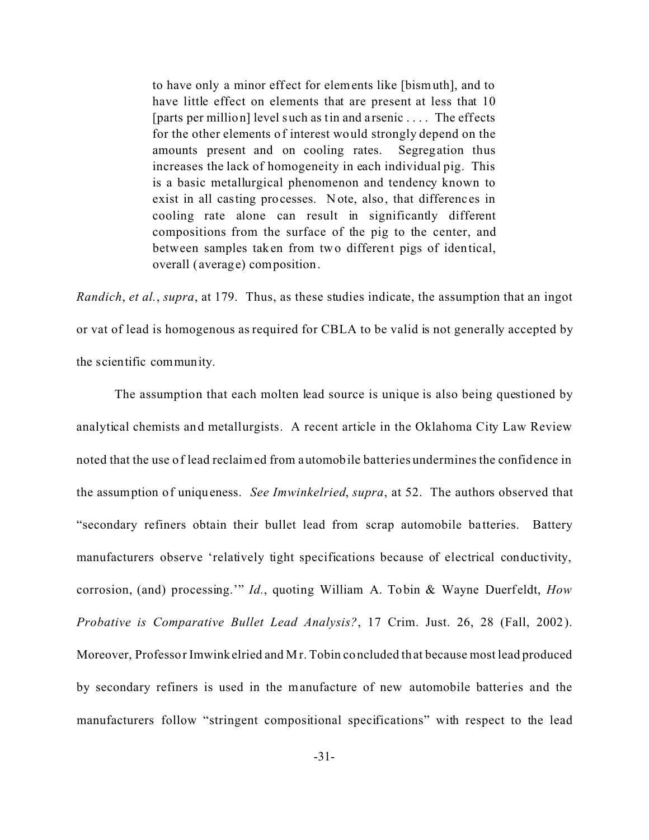to have only a minor effect for elements like [bismuth], and to have little effect on elements that are present at less that 10 [parts per million] level such as tin and a rsenic . . . . The effects for the other elements of interest would strongly depend on the amounts present and on cooling rates. Segregation thus increases the lack of homogeneity in each individual pig. This is a basic metallurgical phenomenon and tendency known to exist in all casting processes. Note, also, that differenc es in cooling rate alone can result in significantly different compositions from the surface of the pig to the center, and between samples taken from two different pigs of identical, overall (average) composition.

*Randich*, *et al.*, *supra*, at 179. Thus, as these studies indicate, the assumption that an ingot or vat of lead is homogenous as required for CBLA to be valid is not generally accepted by the scientific community.

The assumption that each molten lead source is unique is also being questioned by analytical chemists and metallurgists. A recent article in the Oklahoma City Law Review noted that the use of lead reclaimed from automobile batteries undermines the confidence in the assumption of uniqueness. *See Imwinkelried*, *supra*, at 52. The authors observed that "secondary refiners obtain their bullet lead from scrap automobile ba tteries. Battery manufacturers observe 'relatively tight specifications because of electrical conductivity, corrosion, (and) processing." *Id.*, quoting William A. Tobin & Wayne Duerfeldt, *How Probative is Comparative Bullet Lead Analysis?*, 17 Crim. Just. 26, 28 (Fall, 2002). Moreover, Professor Imwinkelried and Mr. Tobin concluded that because most lead produced by secondary refiners is used in the manufacture of new automobile batteries and the manufacturers follow "stringent compositional specifications" with respect to the lead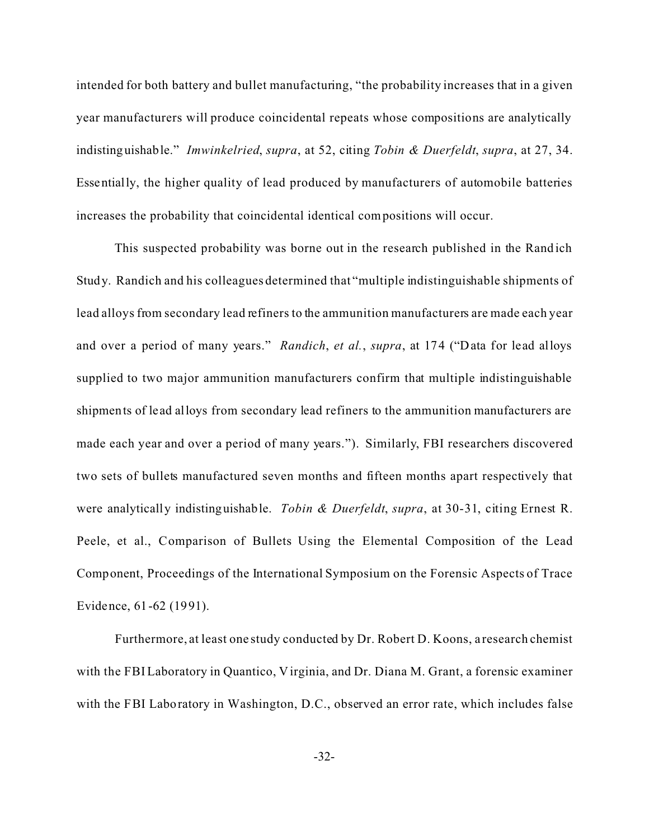intended for both battery and bullet manufacturing, "the probability increases that in a given year manufacturers will produce coincidental repeats whose compositions are analytically indistinguishable." *Imwinkelried*, *supra*, at 52, citing *Tobin & Duerfeldt*, *supra*, at 27, 34. Essentially, the higher quality of lead produced by manufacturers of automobile batteries increases the probability that coincidental identical compositions will occur.

This suspected probability was borne out in the research published in the Rand ich Study. Randich and his colleagues determined that "multiple indistinguishable shipments of lead alloys from secondary lead refiners to the ammunition manufacturers are made each year and over a period of many years." *Randich*, *et al.*, *supra*, at 174 ("Data for lead alloys supplied to two major ammunition manufacturers confirm that multiple indistinguishable shipments of lead alloys from secondary lead refiners to the ammunition manufacturers are made each year and over a period of many years."). Similarly, FBI researchers discovered two sets of bullets manufactured seven months and fifteen months apart respectively that were analytically indistinguishable. *Tobin & Duerfeldt*, *supra*, at 30-31, citing Ernest R. Peele, et al., Comparison of Bullets Using the Elemental Composition of the Lead Component, Proceedings of the International Symposium on the Forensic Aspects of Trace Evidence, 61-62 (1991).

Furthermore, at least one study conducted by Dr. Robert D. Koons, a research chemist with the FBI Laboratory in Quantico, Virginia, and Dr. Diana M. Grant, a forensic examiner with the FBI Laboratory in Washington, D.C., observed an error rate, which includes false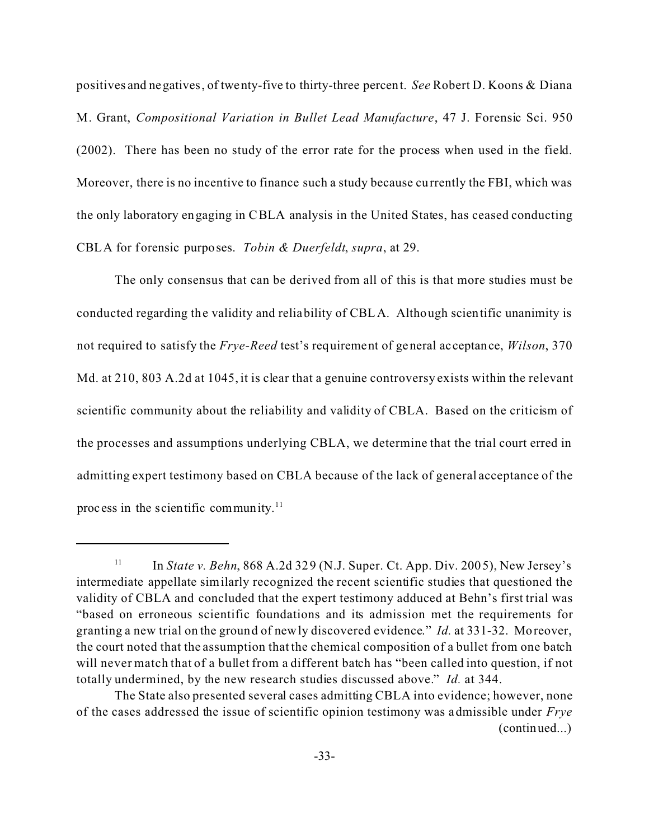positives and negatives, of twenty-five to thirty-three percent. *See* Robert D. Koons & Diana M. Grant, *Compositional Variation in Bullet Lead Manufacture*, 47 J. Forensic Sci. 950 (2002). There has been no study of the error rate for the process when used in the field. Moreover, there is no incentive to finance such a study because currently the FBI, which was the only laboratory engaging in CBLA analysis in the United States, has ceased conducting CBLA for forensic purposes. *Tobin & Duerfeldt*, *supra*, at 29.

The only consensus that can be derived from all of this is that more studies must be conducted regarding the validity and reliability of CBLA. Although scientific unanimity is not required to satisfy the *Frye-Reed* test's requirement of general ac ceptance, *Wilson*, 370 Md. at 210, 803 A.2d at 1045, it is clear that a genuine controversy exists within the relevant scientific community about the reliability and validity of CBLA. Based on the criticism of the processes and assumptions underlying CBLA, we determine that the trial court erred in admitting expert testimony based on CBLA because of the lack of general acceptance of the process in the scientific community. $11$ 

<sup>&</sup>lt;sup>11</sup> In *State v. Behn*, 868 A.2d 329 (N.J. Super. Ct. App. Div. 2005), New Jersey's intermediate appellate similarly recognized the recent scientific studies that questioned the validity of CBLA and concluded that the expert testimony adduced at Behn's first trial was "based on erroneous scientific foundations and its admission met the requirements for granting a new trial on the ground of newly discovered evidence." *Id.* at 331-32. Moreover, the court noted that the assumption that the chemical composition of a bullet from one batch will never match that of a bullet from a different batch has "been called into question, if not totally undermined, by the new research studies discussed above." *Id.* at 344.

The State also presented several cases admitting CBLA into evidence; however, none of the cases addressed the issue of scientific opinion testimony was admissible under *Frye* (continued...)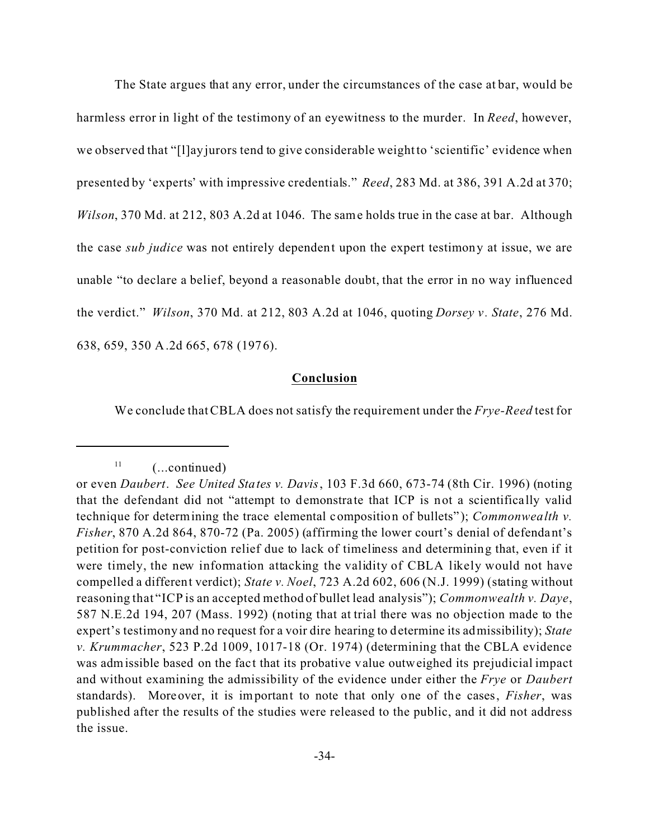The State argues that any error, under the circumstances of the case at bar, would be harmless error in light of the testimony of an eyewitness to the murder. In *Reed*, however, we observed that "[l]ay jurors tend to give considerable weight to 'scientific' evidence when presented by 'experts' with impressive credentials." *Reed*, 283 Md. at 386, 391 A.2d at 370; *Wilson*, 370 Md. at 212, 803 A.2d at 1046. The same holds true in the case at bar. Although the case *sub judice* was not entirely dependent upon the expert testimony at issue, we are unable "to declare a belief, beyond a reasonable doubt, that the error in no way influenced the verdict." *Wilson*, 370 Md. at 212, 803 A.2d at 1046, quoting *Dorsey v . State*, 276 Md. 638, 659, 350 A.2d 665, 678 (1976).

### **Conclusion**

We conclude that CBLA does not satisfy the requirement under the *Frye-Reed* test for

 $11$  (...continued)

or even *Daubert*. *See United States v. Davis*, 103 F.3d 660, 673-74 (8th Cir. 1996) (noting that the defendant did not "attempt to demonstrate that ICP is not a scientifica lly valid technique for determining the trace elemental composition of bullets" ); *Commonwealth v. Fisher*, 870 A.2d 864, 870-72 (Pa. 2005) (affirming the lower court's denial of defendant's petition for post-conviction relief due to lack of timeliness and determining that, even if it were timely, the new information attacking the validity of CBLA likely would not have compelled a different verdict); *State v. Noel*, 723 A.2d 602, 606 (N.J. 1999) (stating without reasoning that "ICP is an accepted method of bullet lead analysis"); *Commonwealth v. Daye*, 587 N.E.2d 194, 207 (Mass. 1992) (noting that at trial there was no objection made to the expert's testimony and no request for a voir dire hearing to determine its admissibility); *State v. Krummacher*, 523 P.2d 1009, 1017-18 (Or. 1974) (determining that the CBLA evidence was admissible based on the fact that its probative value outweighed its prejudicial impact and without examining the admissibility of the evidence under either the *Frye* or *Daubert* standards). Moreover, it is important to note that only one of the cases, *Fisher*, was published after the results of the studies were released to the public, and it did not address the issue.